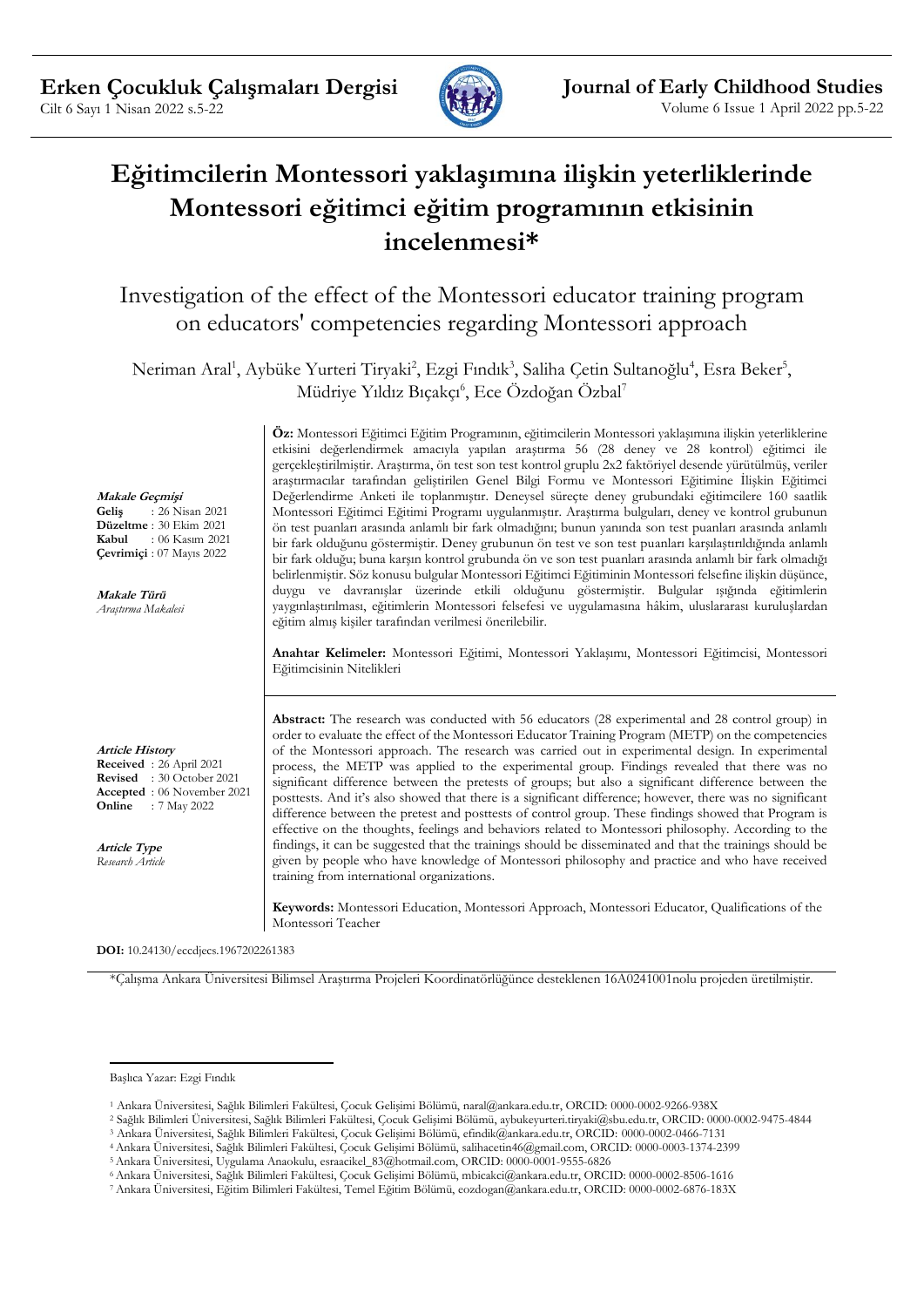

# **Eğitimcilerin Montessori yaklaşımına ilişkin yeterliklerinde Montessori eğitimci eğitim programının etkisinin incelenmesi\***

Investigation of the effect of the Montessori educator training program on educators' competencies regarding Montessori approach

Neriman Aral<sup>1</sup>, Aybüke Yurteri Tiryaki<sup>2</sup>, Ezgi Fındık<sup>3</sup>, Saliha Çetin Sultanoğlu<sup>4</sup>, Esra Beker<sup>5</sup>, Müdriye Yıldız Bıçakçı<sup>6</sup>, Ece Özdoğan Özbal<sup>7</sup>

> **Öz:** Montessori Eğitimci Eğitim Programının, eğitimcilerin Montessori yaklaşımına ilişkin yeterliklerine etkisini değerlendirmek amacıyla yapılan araştırma 56 (28 deney ve 28 kontrol) eğitimci ile gerçekleştirilmiştir. Araştırma, ön test son test kontrol gruplu 2x2 faktöriyel desende yürütülmüş, veriler araştırmacılar tarafından geliştirilen Genel Bilgi Formu ve Montessori Eğitimine İlişkin Eğitimci Değerlendirme Anketi ile toplanmıştır. Deneysel süreçte deney grubundaki eğitimcilere 160 saatlik Montessori Eğitimci Eğitimi Programı uygulanmıştır. Araştırma bulguları, deney ve kontrol grubunun ön test puanları arasında anlamlı bir fark olmadığını; bunun yanında son test puanları arasında anlamlı bir fark olduğunu göstermiştir. Deney grubunun ön test ve son test puanları karşılaştırıldığında anlamlı bir fark olduğu; buna karşın kontrol grubunda ön ve son test puanları arasında anlamlı bir fark olmadığı belirlenmiştir. Söz konusu bulgular Montessori Eğitimci Eğitiminin Montessori felsefine ilişkin düşünce, duygu ve davranışlar üzerinde etkili olduğunu göstermiştir. Bulgular ışığında eğitimlerin yaygınlaştırılması, eğitimlerin Montessori felsefesi ve uygulamasına hâkim, uluslararası kuruluşlardan eğitim almış kişiler tarafından verilmesi önerilebilir.

> **Anahtar Kelimeler:** Montessori Eğitimi, Montessori Yaklaşımı, Montessori Eğitimcisi, Montessori Eğitimcisinin Nitelikleri

> **Abstract:** The research was conducted with 56 educators (28 experimental and 28 control group) in order to evaluate the effect of the Montessori Educator Training Program (METP) on the competencies of the Montessori approach. The research was carried out in experimental design. In experimental process, the METP was applied to the experimental group. Findings revealed that there was no significant difference between the pretests of groups; but also a significant difference between the posttests. And it's also showed that there is a significant difference; however, there was no significant difference between the pretest and posttests of control group. These findings showed that Program is effective on the thoughts, feelings and behaviors related to Montessori philosophy. According to the findings, it can be suggested that the trainings should be disseminated and that the trainings should be given by people who have knowledge of Montessori philosophy and practice and who have received training from international organizations.

**Keywords:** Montessori Education, Montessori Approach, Montessori Educator, Qualifications of the Montessori Teacher

**DOI:** 10.24130/eccdjecs.1967202261383

\*Çalışma Ankara Üniversitesi Bilimsel Araştırma Projeleri Koordinatörlüğünce desteklenen 16A0241001nolu projeden üretilmiştir.

**Makale Geçmişi Geliş** : 26 Nisan 2021 **Düzeltme** : 30 Ekim 2021<br>**Kabul** : 06 Kasım 2022 **Kabul** : 06 Kasım 2021

**Çevrimiçi** : 07 Mayıs 2022

**Makale Türü** *Araştırma Makalesi*

**Article History Received** : 26 April 2021 **Revised** : 30 October 2021 **Accepted** : 06 November 2021 **Online** : 7 May 2022

**Article Type** *Research Article*

Başlıca Yazar: Ezgi Fındık

<sup>1</sup> Ankara Üniversitesi, Sağlık Bilimleri Fakültesi, Çocuk Gelişimi Bölümü, naral@ankara.edu.tr, ORCID: 0000-0002-9266-938X

<sup>2</sup> Sağlık Bilimleri Üniversitesi, Sağlık Bilimleri Fakültesi, Çocuk Gelişimi Bölümü, aybukeyurteri.tiryaki@sbu.edu.tr, ORCID: 0000-0002-9475-4844

<sup>3</sup> Ankara Üniversitesi, Sağlık Bilimleri Fakültesi, Çocuk Gelişimi Bölümü, efindik@ankara.edu.tr, ORCID: 0000-0002-0466-7131

<sup>4</sup>Ankara Üniversitesi, Sağlık Bilimleri Fakültesi, Çocuk Gelişimi Bölümü, salihacetin46@gmail.com, ORCID: 0000-0003-1374-2399

<sup>5</sup>Ankara Üniversitesi, Uygulama Anaokulu, esraacikel\_83@hotmail.com, ORCID: 0000-0001-9555-6826

<sup>6</sup>Ankara Üniversitesi, Sağlık Bilimleri Fakültesi, Çocuk Gelişimi Bölümü, mbicakci@ankara.edu.tr, ORCID: 0000-0002-8506-1616

<sup>7</sup> Ankara Üniversitesi, Eğitim Bilimleri Fakültesi, Temel Eğitim Bölümü, eozdogan@ankara.edu.tr, ORCID: 0000-0002-6876-183X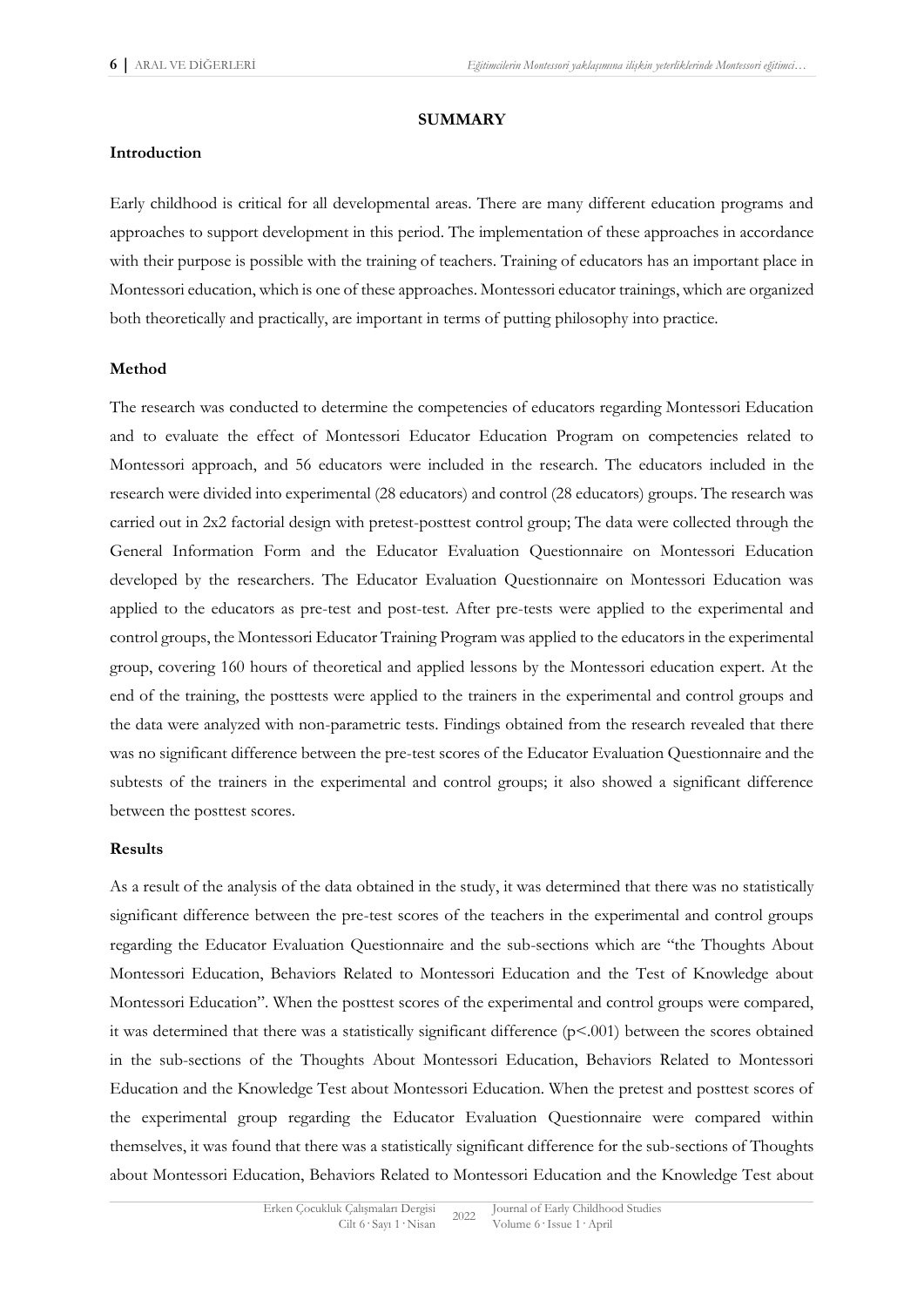#### **SUMMARY**

#### **Introduction**

Early childhood is critical for all developmental areas. There are many different education programs and approaches to support development in this period. The implementation of these approaches in accordance with their purpose is possible with the training of teachers. Training of educators has an important place in Montessori education, which is one of these approaches. Montessori educator trainings, which are organized both theoretically and practically, are important in terms of putting philosophy into practice.

#### **Method**

The research was conducted to determine the competencies of educators regarding Montessori Education and to evaluate the effect of Montessori Educator Education Program on competencies related to Montessori approach, and 56 educators were included in the research. The educators included in the research were divided into experimental (28 educators) and control (28 educators) groups. The research was carried out in 2x2 factorial design with pretest-posttest control group; The data were collected through the General Information Form and the Educator Evaluation Questionnaire on Montessori Education developed by the researchers. The Educator Evaluation Questionnaire on Montessori Education was applied to the educators as pre-test and post-test. After pre-tests were applied to the experimental and control groups, the Montessori Educator Training Program was applied to the educators in the experimental group, covering 160 hours of theoretical and applied lessons by the Montessori education expert. At the end of the training, the posttests were applied to the trainers in the experimental and control groups and the data were analyzed with non-parametric tests. Findings obtained from the research revealed that there was no significant difference between the pre-test scores of the Educator Evaluation Questionnaire and the subtests of the trainers in the experimental and control groups; it also showed a significant difference between the posttest scores.

#### **Results**

As a result of the analysis of the data obtained in the study, it was determined that there was no statistically significant difference between the pre-test scores of the teachers in the experimental and control groups regarding the Educator Evaluation Questionnaire and the sub-sections which are "the Thoughts About Montessori Education, Behaviors Related to Montessori Education and the Test of Knowledge about Montessori Education". When the posttest scores of the experimental and control groups were compared, it was determined that there was a statistically significant difference  $(p<.001)$  between the scores obtained in the sub-sections of the Thoughts About Montessori Education, Behaviors Related to Montessori Education and the Knowledge Test about Montessori Education. When the pretest and posttest scores of the experimental group regarding the Educator Evaluation Questionnaire were compared within themselves, it was found that there was a statistically significant difference for the sub-sections of Thoughts about Montessori Education, Behaviors Related to Montessori Education and the Knowledge Test about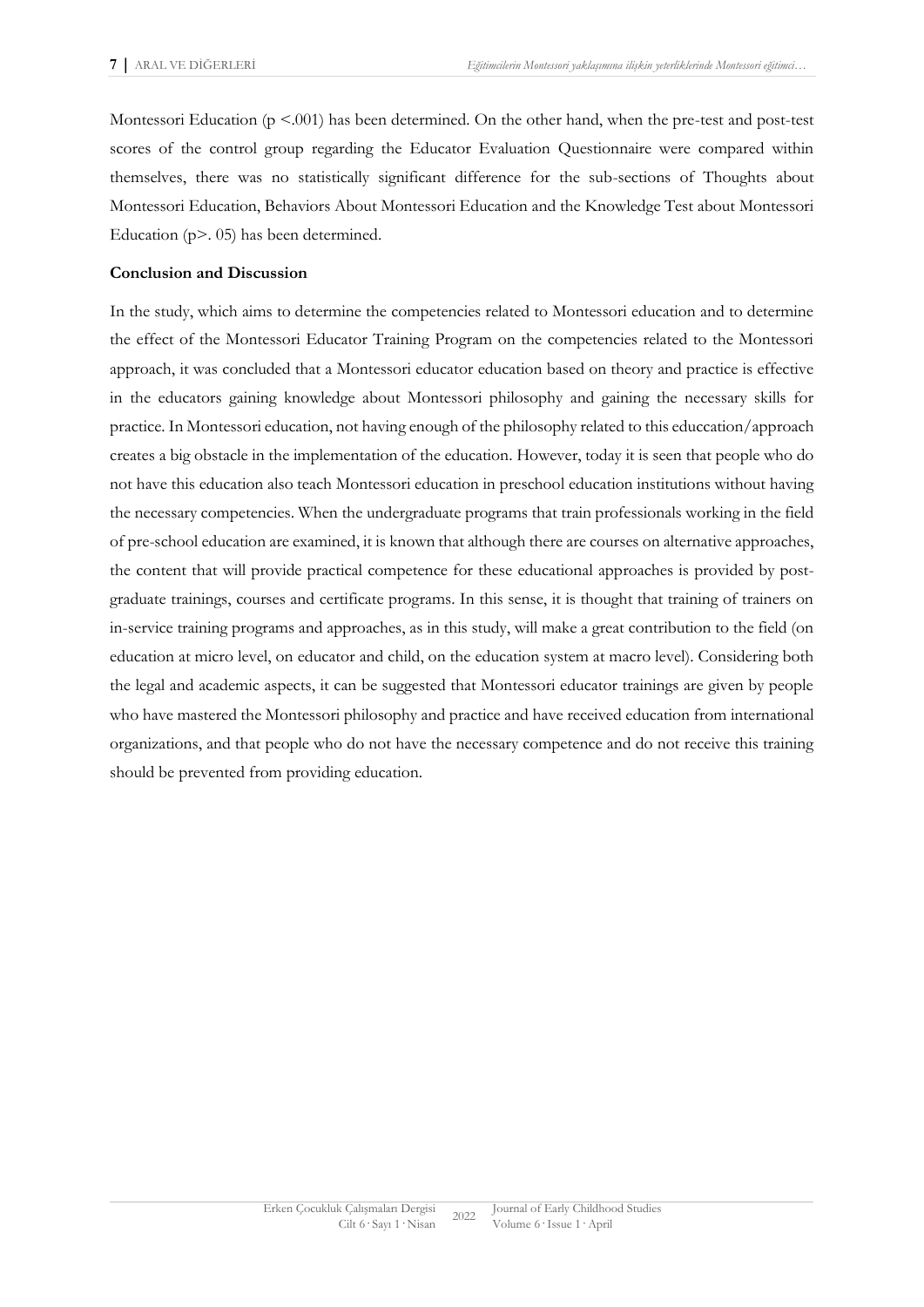Montessori Education (p <.001) has been determined. On the other hand, when the pre-test and post-test scores of the control group regarding the Educator Evaluation Questionnaire were compared within themselves, there was no statistically significant difference for the sub-sections of Thoughts about Montessori Education, Behaviors About Montessori Education and the Knowledge Test about Montessori Education (p>. 05) has been determined.

#### **Conclusion and Discussion**

In the study, which aims to determine the competencies related to Montessori education and to determine the effect of the Montessori Educator Training Program on the competencies related to the Montessori approach, it was concluded that a Montessori educator education based on theory and practice is effective in the educators gaining knowledge about Montessori philosophy and gaining the necessary skills for practice. In Montessori education, not having enough of the philosophy related to this educcation/approach creates a big obstacle in the implementation of the education. However, today it is seen that people who do not have this education also teach Montessori education in preschool education institutions without having the necessary competencies. When the undergraduate programs that train professionals working in the field of pre-school education are examined, it is known that although there are courses on alternative approaches, the content that will provide practical competence for these educational approaches is provided by postgraduate trainings, courses and certificate programs. In this sense, it is thought that training of trainers on in-service training programs and approaches, as in this study, will make a great contribution to the field (on education at micro level, on educator and child, on the education system at macro level). Considering both the legal and academic aspects, it can be suggested that Montessori educator trainings are given by people who have mastered the Montessori philosophy and practice and have received education from international organizations, and that people who do not have the necessary competence and do not receive this training should be prevented from providing education.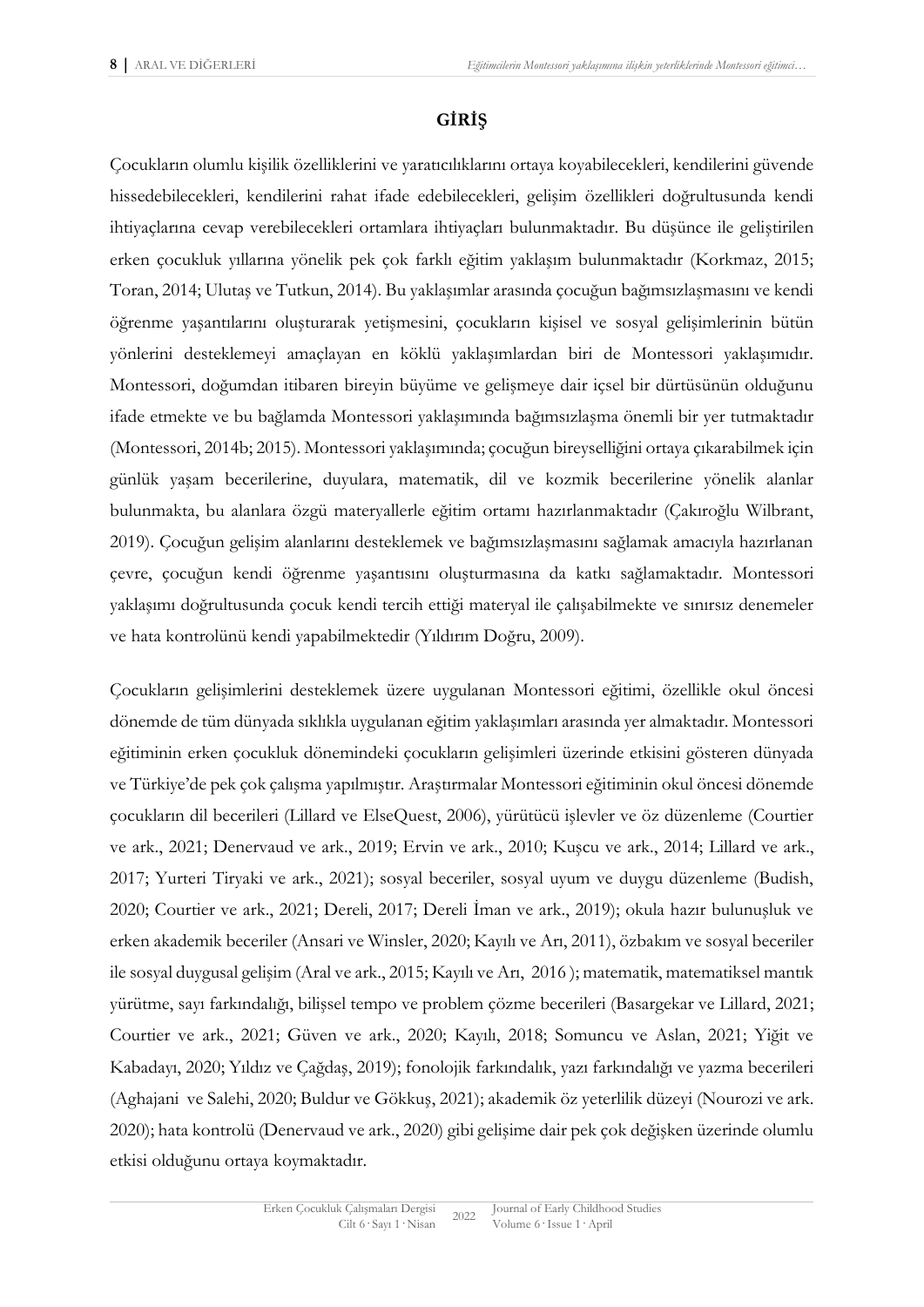## **GİRİŞ**

Çocukların olumlu kişilik özelliklerini ve yaratıcılıklarını ortaya koyabilecekleri, kendilerini güvende hissedebilecekleri, kendilerini rahat ifade edebilecekleri, gelişim özellikleri doğrultusunda kendi ihtiyaçlarına cevap verebilecekleri ortamlara ihtiyaçları bulunmaktadır. Bu düşünce ile geliştirilen erken çocukluk yıllarına yönelik pek çok farklı eğitim yaklaşım bulunmaktadır (Korkmaz, 2015; Toran, 2014; Ulutaş ve Tutkun, 2014). Bu yaklaşımlar arasında çocuğun bağımsızlaşmasını ve kendi öğrenme yaşantılarını oluşturarak yetişmesini, çocukların kişisel ve sosyal gelişimlerinin bütün yönlerini desteklemeyi amaçlayan en köklü yaklaşımlardan biri de Montessori yaklaşımıdır. Montessori, doğumdan itibaren bireyin büyüme ve gelişmeye dair içsel bir dürtüsünün olduğunu ifade etmekte ve bu bağlamda Montessori yaklaşımında bağımsızlaşma önemli bir yer tutmaktadır (Montessori, 2014b; 2015). Montessori yaklaşımında; çocuğun bireyselliğini ortaya çıkarabilmek için günlük yaşam becerilerine, duyulara, matematik, dil ve kozmik becerilerine yönelik alanlar bulunmakta, bu alanlara özgü materyallerle eğitim ortamı hazırlanmaktadır (Çakıroğlu Wilbrant, 2019). Çocuğun gelişim alanlarını desteklemek ve bağımsızlaşmasını sağlamak amacıyla hazırlanan çevre, çocuğun kendi öğrenme yaşantısını oluşturmasına da katkı sağlamaktadır. Montessori yaklaşımı doğrultusunda çocuk kendi tercih ettiği materyal ile çalışabilmekte ve sınırsız denemeler ve hata kontrolünü kendi yapabilmektedir (Yıldırım Doğru, 2009).

Çocukların gelişimlerini desteklemek üzere uygulanan Montessori eğitimi, özellikle okul öncesi dönemde de tüm dünyada sıklıkla uygulanan eğitim yaklaşımları arasında yer almaktadır. Montessori eğitiminin erken çocukluk dönemindeki çocukların gelişimleri üzerinde etkisini gösteren dünyada ve Türkiye'de pek çok çalışma yapılmıştır. Araştırmalar Montessori eğitiminin okul öncesi dönemde çocukların dil becerileri (Lillard ve ElseQuest, 2006), yürütücü işlevler ve öz düzenleme (Courtier ve ark., 2021; Denervaud ve ark., 2019; Ervin ve ark., 2010; Kuşcu ve ark., 2014; Lillard ve ark., 2017; Yurteri Tiryaki ve ark., 2021); sosyal beceriler, sosyal uyum ve duygu düzenleme (Budish, 2020; Courtier ve ark., 2021; Dereli, 2017; Dereli İman ve ark., 2019); okula hazır bulunuşluk ve erken akademik beceriler (Ansari ve Winsler, 2020; Kayılı ve Arı, 2011), özbakım ve sosyal beceriler ile sosyal duygusal gelişim (Aral ve ark., 2015; Kayılı ve Arı, 2016 ); matematik, matematiksel mantık yürütme, sayı farkındalığı, bilişsel tempo ve problem çözme becerileri (Basargekar ve Lillard, 2021; Courtier ve ark., 2021; Güven ve ark., 2020; Kayılı, 2018; Somuncu ve Aslan, 2021; Yiğit ve Kabadayı, 2020; Yıldız ve Çağdaş, 2019); fonolojik farkındalık, yazı farkındalığı ve yazma becerileri (Aghajani ve Salehi, 2020; Buldur ve Gökkuş, 2021); akademik öz yeterlilik düzeyi (Nourozi ve ark. 2020); hata kontrolü (Denervaud ve ark., 2020) gibi gelişime dair pek çok değişken üzerinde olumlu etkisi olduğunu ortaya koymaktadır.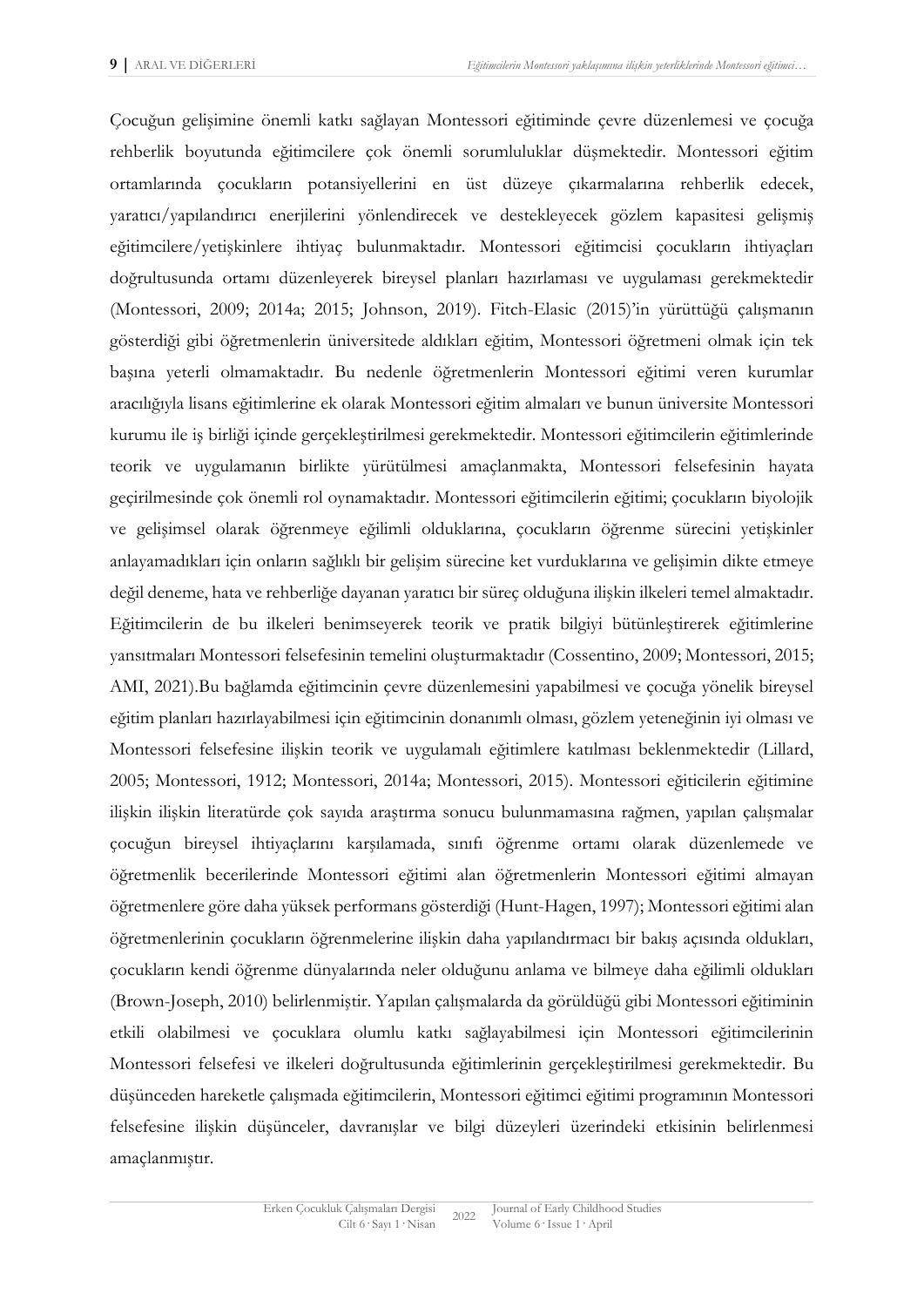Çocuğun gelişimine önemli katkı sağlayan Montessori eğitiminde çevre düzenlemesi ve çocuğa rehberlik boyutunda eğitimcilere çok önemli sorumluluklar düşmektedir. Montessori eğitim ortamlarında çocukların potansiyellerini en üst düzeye çıkarmalarına rehberlik edecek, yaratıcı/yapılandırıcı enerjilerini yönlendirecek ve destekleyecek gözlem kapasitesi gelişmiş eğitimcilere/yetişkinlere ihtiyaç bulunmaktadır. Montessori eğitimcisi çocukların ihtiyaçları doğrultusunda ortamı düzenleyerek bireysel planları hazırlaması ve uygulaması gerekmektedir (Montessori, 2009; 2014a; 2015; Johnson, 2019). Fitch-Elasic (2015)'in yürüttüğü çalışmanın gösterdiği gibi öğretmenlerin üniversitede aldıkları eğitim, Montessori öğretmeni olmak için tek başına yeterli olmamaktadır. Bu nedenle öğretmenlerin Montessori eğitimi veren kurumlar aracılığıyla lisans eğitimlerine ek olarak Montessori eğitim almaları ve bunun üniversite Montessori kurumu ile iş birliği içinde gerçekleştirilmesi gerekmektedir. Montessori eğitimcilerin eğitimlerinde teorik ve uygulamanın birlikte yürütülmesi amaçlanmakta, Montessori felsefesinin hayata geçirilmesinde çok önemli rol oynamaktadır. Montessori eğitimcilerin eğitimi; çocukların biyolojik ve gelişimsel olarak öğrenmeye eğilimli olduklarına, çocukların öğrenme sürecini yetişkinler anlayamadıkları için onların sağlıklı bir gelişim sürecine ket vurduklarına ve gelişimin dikte etmeye değil deneme, hata ve rehberliğe dayanan yaratıcı bir süreç olduğuna ilişkin ilkeleri temel almaktadır. Eğitimcilerin de bu ilkeleri benimseyerek teorik ve pratik bilgiyi bütünleştirerek eğitimlerine yansıtmaları Montessori felsefesinin temelini oluşturmaktadır (Cossentino, 2009; Montessori, 2015; AMI, 2021).Bu bağlamda eğitimcinin çevre düzenlemesini yapabilmesi ve çocuğa yönelik bireysel eğitim planları hazırlayabilmesi için eğitimcinin donanımlı olması, gözlem yeteneğinin iyi olması ve Montessori felsefesine ilişkin teorik ve uygulamalı eğitimlere katılması beklenmektedir (Lillard, 2005; Montessori, 1912; Montessori, 2014a; Montessori, 2015). Montessori eğiticilerin eğitimine ilişkin ilişkin literatürde çok sayıda araştırma sonucu bulunmamasına rağmen, yapılan çalışmalar çocuğun bireysel ihtiyaçlarını karşılamada, sınıfı öğrenme ortamı olarak düzenlemede ve öğretmenlik becerilerinde Montessori eğitimi alan öğretmenlerin Montessori eğitimi almayan öğretmenlere göre daha yüksek performans gösterdiği (Hunt-Hagen, 1997); Montessori eğitimi alan öğretmenlerinin çocukların öğrenmelerine ilişkin daha yapılandırmacı bir bakış açısında oldukları, çocukların kendi öğrenme dünyalarında neler olduğunu anlama ve bilmeye daha eğilimli oldukları (Brown-Joseph, 2010) belirlenmiştir. Yapılan çalışmalarda da görüldüğü gibi Montessori eğitiminin etkili olabilmesi ve çocuklara olumlu katkı sağlayabilmesi için Montessori eğitimcilerinin Montessori felsefesi ve ilkeleri doğrultusunda eğitimlerinin gerçekleştirilmesi gerekmektedir. Bu düşünceden hareketle çalışmada eğitimcilerin, Montessori eğitimci eğitimi programının Montessori felsefesine ilişkin düşünceler, davranışlar ve bilgi düzeyleri üzerindeki etkisinin belirlenmesi amaçlanmıştır.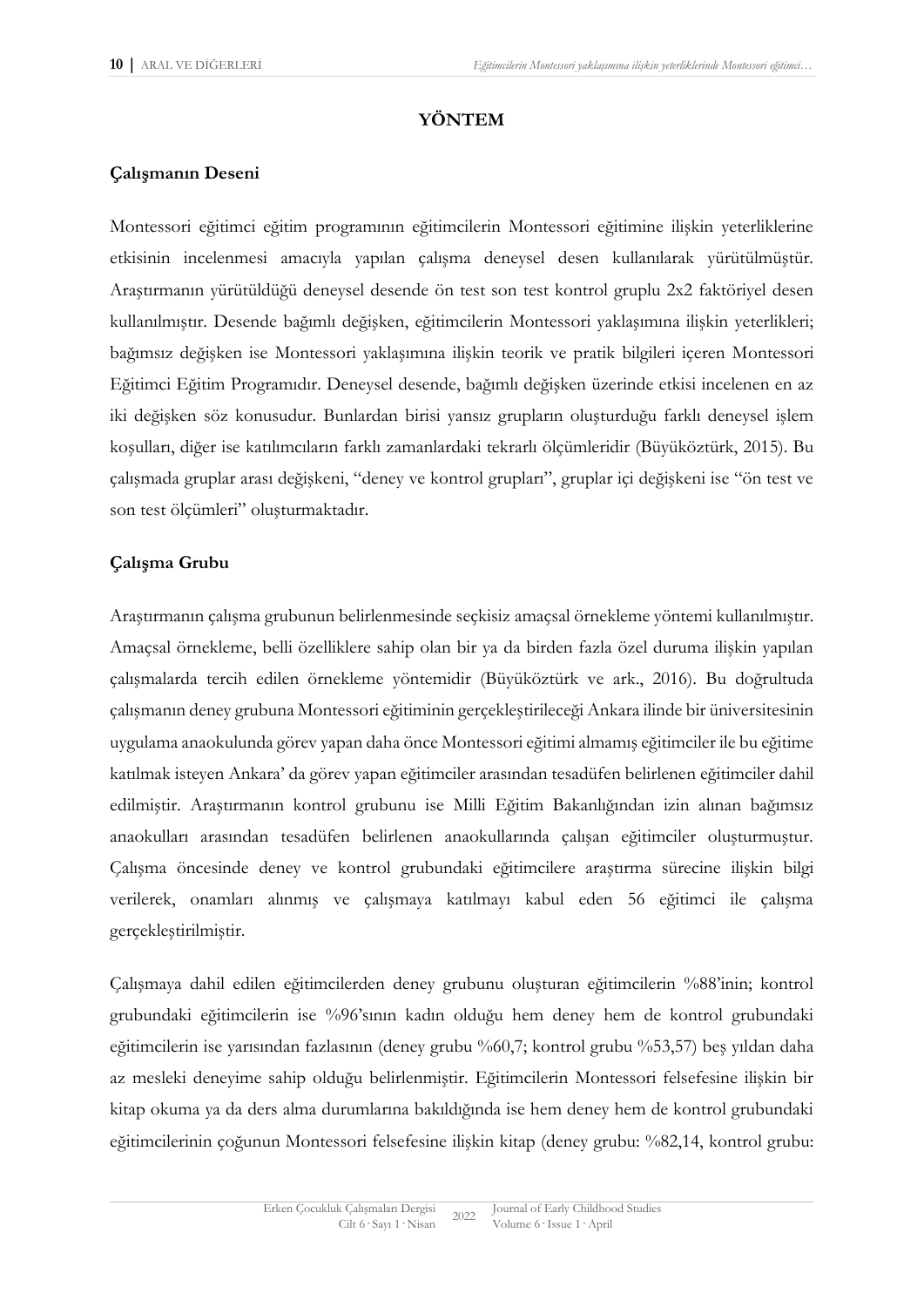## **YÖNTEM**

## **Çalışmanın Deseni**

Montessori eğitimci eğitim programının eğitimcilerin Montessori eğitimine ilişkin yeterliklerine etkisinin incelenmesi amacıyla yapılan çalışma deneysel desen kullanılarak yürütülmüştür. Araştırmanın yürütüldüğü deneysel desende ön test son test kontrol gruplu 2x2 faktöriyel desen kullanılmıştır. Desende bağımlı değişken, eğitimcilerin Montessori yaklaşımına ilişkin yeterlikleri; bağımsız değişken ise Montessori yaklaşımına ilişkin teorik ve pratik bilgileri içeren Montessori Eğitimci Eğitim Programıdır. Deneysel desende, bağımlı değişken üzerinde etkisi incelenen en az iki değişken söz konusudur. Bunlardan birisi yansız grupların oluşturduğu farklı deneysel işlem koşulları, diğer ise katılımcıların farklı zamanlardaki tekrarlı ölçümleridir (Büyüköztürk, 2015). Bu çalışmada gruplar arası değişkeni, "deney ve kontrol grupları", gruplar içi değişkeni ise "ön test ve son test ölçümleri" oluşturmaktadır.

## **Çalışma Grubu**

Araştırmanın çalışma grubunun belirlenmesinde seçkisiz amaçsal örnekleme yöntemi kullanılmıştır. Amaçsal örnekleme, belli özelliklere sahip olan bir ya da birden fazla özel duruma ilişkin yapılan çalışmalarda tercih edilen örnekleme yöntemidir (Büyüköztürk ve ark., 2016). Bu doğrultuda çalışmanın deney grubuna Montessori eğitiminin gerçekleştirileceği Ankara ilinde bir üniversitesinin uygulama anaokulunda görev yapan daha önce Montessori eğitimi almamış eğitimciler ile bu eğitime katılmak isteyen Ankara' da görev yapan eğitimciler arasından tesadüfen belirlenen eğitimciler dahil edilmiştir. Araştırmanın kontrol grubunu ise Milli Eğitim Bakanlığından izin alınan bağımsız anaokulları arasından tesadüfen belirlenen anaokullarında çalışan eğitimciler oluşturmuştur. Çalışma öncesinde deney ve kontrol grubundaki eğitimcilere araştırma sürecine ilişkin bilgi verilerek, onamları alınmış ve çalışmaya katılmayı kabul eden 56 eğitimci ile çalışma gerçekleştirilmiştir.

Çalışmaya dahil edilen eğitimcilerden deney grubunu oluşturan eğitimcilerin %88'inin; kontrol grubundaki eğitimcilerin ise %96'sının kadın olduğu hem deney hem de kontrol grubundaki eğitimcilerin ise yarısından fazlasının (deney grubu %60,7; kontrol grubu %53,57) beş yıldan daha az mesleki deneyime sahip olduğu belirlenmiştir. Eğitimcilerin Montessori felsefesine ilişkin bir kitap okuma ya da ders alma durumlarına bakıldığında ise hem deney hem de kontrol grubundaki eğitimcilerinin çoğunun Montessori felsefesine ilişkin kitap (deney grubu: %82,14, kontrol grubu: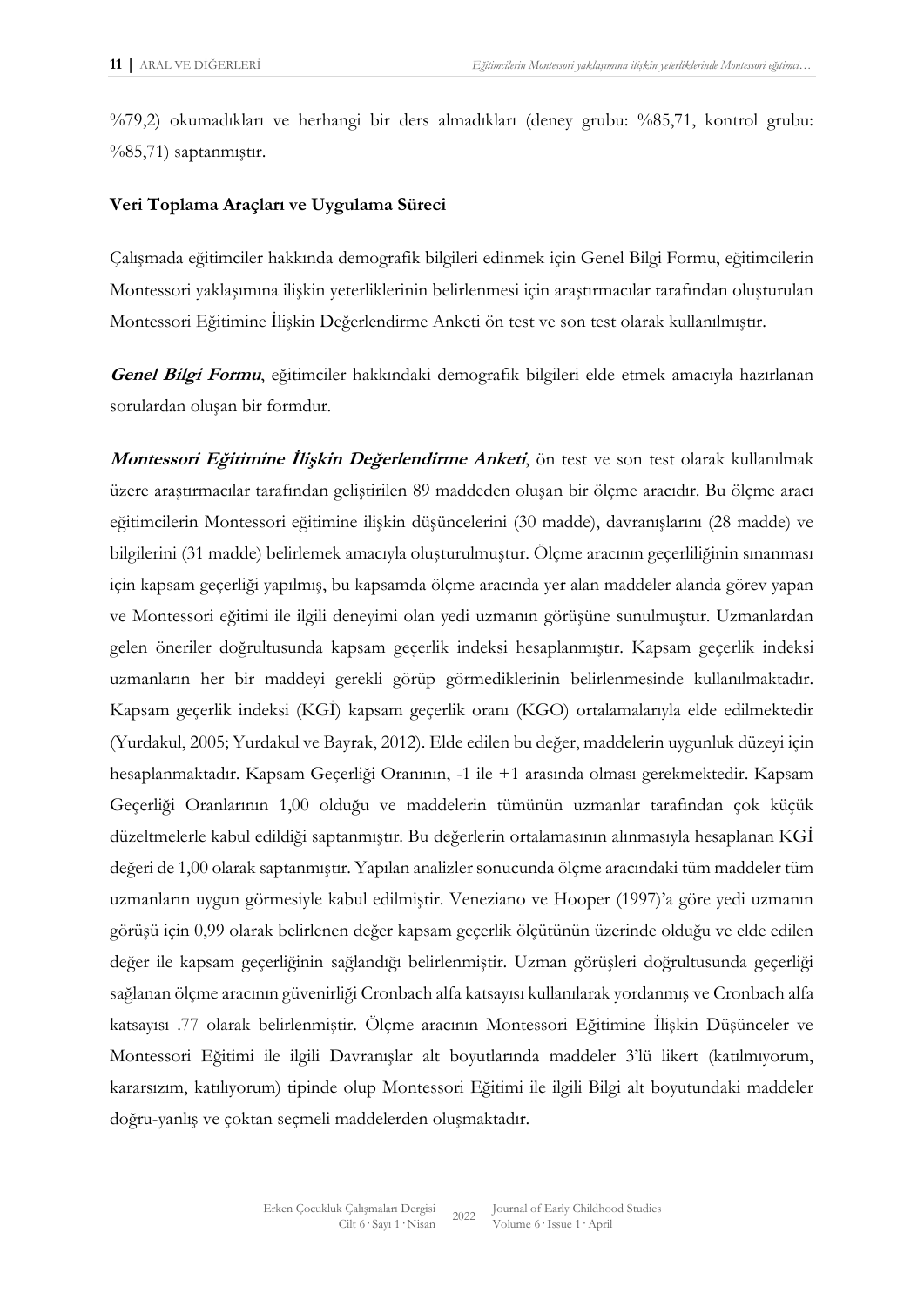%79,2) okumadıkları ve herhangi bir ders almadıkları (deney grubu: %85,71, kontrol grubu: %85,71) saptanmıştır.

## **Veri Toplama Araçları ve Uygulama Süreci**

Çalışmada eğitimciler hakkında demografik bilgileri edinmek için Genel Bilgi Formu, eğitimcilerin Montessori yaklaşımına ilişkin yeterliklerinin belirlenmesi için araştırmacılar tarafından oluşturulan Montessori Eğitimine İlişkin Değerlendirme Anketi ön test ve son test olarak kullanılmıştır.

**Genel Bilgi Formu**, eğitimciler hakkındaki demografik bilgileri elde etmek amacıyla hazırlanan sorulardan oluşan bir formdur.

**Montessori Eğitimine İlişkin Değerlendirme Anketi**, ön test ve son test olarak kullanılmak üzere araştırmacılar tarafından geliştirilen 89 maddeden oluşan bir ölçme aracıdır. Bu ölçme aracı eğitimcilerin Montessori eğitimine ilişkin düşüncelerini (30 madde), davranışlarını (28 madde) ve bilgilerini (31 madde) belirlemek amacıyla oluşturulmuştur. Ölçme aracının geçerliliğinin sınanması için kapsam geçerliği yapılmış, bu kapsamda ölçme aracında yer alan maddeler alanda görev yapan ve Montessori eğitimi ile ilgili deneyimi olan yedi uzmanın görüşüne sunulmuştur. Uzmanlardan gelen öneriler doğrultusunda kapsam geçerlik indeksi hesaplanmıştır. Kapsam geçerlik indeksi uzmanların her bir maddeyi gerekli görüp görmediklerinin belirlenmesinde kullanılmaktadır. Kapsam geçerlik indeksi (KGİ) kapsam geçerlik oranı (KGO) ortalamalarıyla elde edilmektedir (Yurdakul, 2005; Yurdakul ve Bayrak, 2012). Elde edilen bu değer, maddelerin uygunluk düzeyi için hesaplanmaktadır. Kapsam Geçerliği Oranının, -1 ile +1 arasında olması gerekmektedir. Kapsam Geçerliği Oranlarının 1,00 olduğu ve maddelerin tümünün uzmanlar tarafından çok küçük düzeltmelerle kabul edildiği saptanmıştır. Bu değerlerin ortalamasının alınmasıyla hesaplanan KGİ değeri de 1,00 olarak saptanmıştır. Yapılan analizler sonucunda ölçme aracındaki tüm maddeler tüm uzmanların uygun görmesiyle kabul edilmiştir. Veneziano ve Hooper (1997)'a göre yedi uzmanın görüşü için 0,99 olarak belirlenen değer kapsam geçerlik ölçütünün üzerinde olduğu ve elde edilen değer ile kapsam geçerliğinin sağlandığı belirlenmiştir. Uzman görüşleri doğrultusunda geçerliği sağlanan ölçme aracının güvenirliği Cronbach alfa katsayısı kullanılarak yordanmış ve Cronbach alfa katsayısı .77 olarak belirlenmiştir. Ölçme aracının Montessori Eğitimine İlişkin Düşünceler ve Montessori Eğitimi ile ilgili Davranışlar alt boyutlarında maddeler 3'lü likert (katılmıyorum, kararsızım, katılıyorum) tipinde olup Montessori Eğitimi ile ilgili Bilgi alt boyutundaki maddeler doğru-yanlış ve çoktan seçmeli maddelerden oluşmaktadır.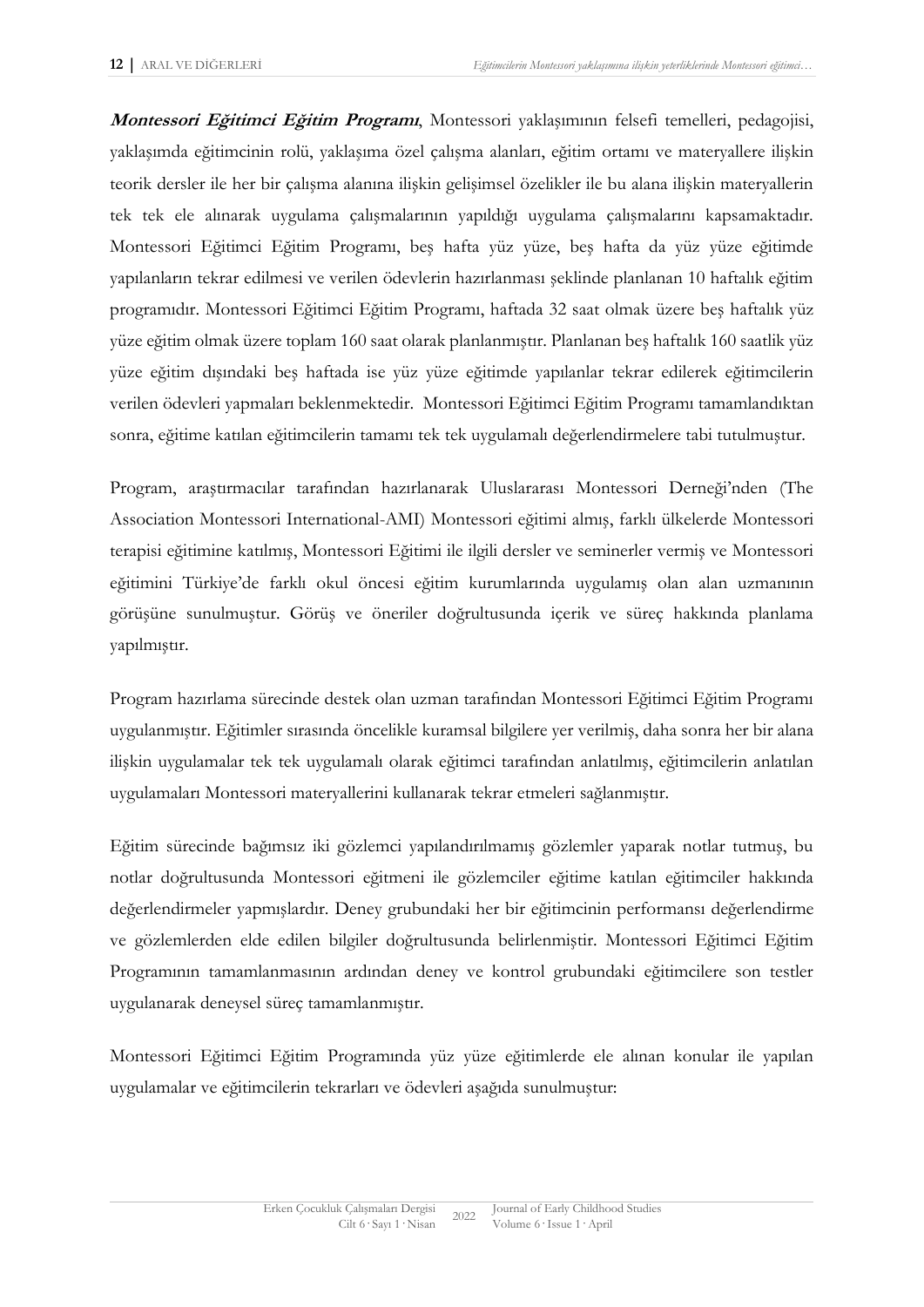**Montessori Eğitimci Eğitim Programı**, Montessori yaklaşımının felsefi temelleri, pedagojisi, yaklaşımda eğitimcinin rolü, yaklaşıma özel çalışma alanları, eğitim ortamı ve materyallere ilişkin teorik dersler ile her bir çalışma alanına ilişkin gelişimsel özelikler ile bu alana ilişkin materyallerin tek tek ele alınarak uygulama çalışmalarının yapıldığı uygulama çalışmalarını kapsamaktadır. Montessori Eğitimci Eğitim Programı, beş hafta yüz yüze, beş hafta da yüz yüze eğitimde yapılanların tekrar edilmesi ve verilen ödevlerin hazırlanması şeklinde planlanan 10 haftalık eğitim programıdır. Montessori Eğitimci Eğitim Programı, haftada 32 saat olmak üzere beş haftalık yüz yüze eğitim olmak üzere toplam 160 saat olarak planlanmıştır. Planlanan beş haftalık 160 saatlik yüz yüze eğitim dışındaki beş haftada ise yüz yüze eğitimde yapılanlar tekrar edilerek eğitimcilerin verilen ödevleri yapmaları beklenmektedir. Montessori Eğitimci Eğitim Programı tamamlandıktan sonra, eğitime katılan eğitimcilerin tamamı tek tek uygulamalı değerlendirmelere tabi tutulmuştur.

Program, araştırmacılar tarafından hazırlanarak Uluslararası Montessori Derneği'nden (The Association Montessori International-AMI) Montessori eğitimi almış, farklı ülkelerde Montessori terapisi eğitimine katılmış, Montessori Eğitimi ile ilgili dersler ve seminerler vermiş ve Montessori eğitimini Türkiye'de farklı okul öncesi eğitim kurumlarında uygulamış olan alan uzmanının görüşüne sunulmuştur. Görüş ve öneriler doğrultusunda içerik ve süreç hakkında planlama yapılmıştır.

Program hazırlama sürecinde destek olan uzman tarafından Montessori Eğitimci Eğitim Programı uygulanmıştır. Eğitimler sırasında öncelikle kuramsal bilgilere yer verilmiş, daha sonra her bir alana ilişkin uygulamalar tek tek uygulamalı olarak eğitimci tarafından anlatılmış, eğitimcilerin anlatılan uygulamaları Montessori materyallerini kullanarak tekrar etmeleri sağlanmıştır.

Eğitim sürecinde bağımsız iki gözlemci yapılandırılmamış gözlemler yaparak notlar tutmuş, bu notlar doğrultusunda Montessori eğitmeni ile gözlemciler eğitime katılan eğitimciler hakkında değerlendirmeler yapmışlardır. Deney grubundaki her bir eğitimcinin performansı değerlendirme ve gözlemlerden elde edilen bilgiler doğrultusunda belirlenmiştir. Montessori Eğitimci Eğitim Programının tamamlanmasının ardından deney ve kontrol grubundaki eğitimcilere son testler uygulanarak deneysel süreç tamamlanmıştır.

Montessori Eğitimci Eğitim Programında yüz yüze eğitimlerde ele alınan konular ile yapılan uygulamalar ve eğitimcilerin tekrarları ve ödevleri aşağıda sunulmuştur: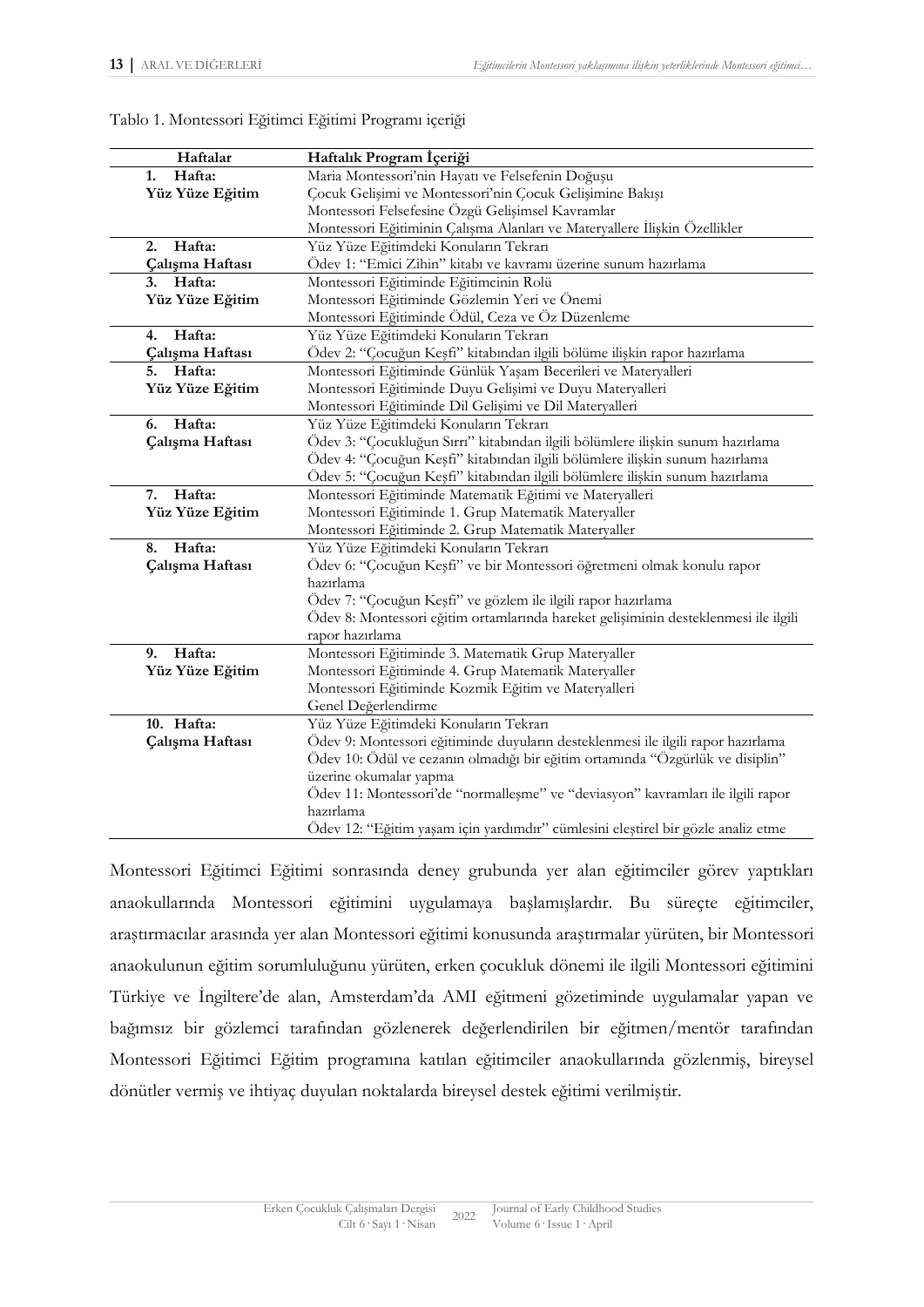| Haftalar        | Haftalık Program İçeriği                                                            |
|-----------------|-------------------------------------------------------------------------------------|
| Hafta:<br>1.    | Maria Montessori'nin Hayatı ve Felsefenin Doğuşu                                    |
| Yüz Yüze Eğitim | Çocuk Gelişimi ve Montessori'nin Çocuk Gelişimine Bakışı                            |
|                 | Montessori Felsefesine Özgü Gelişimsel Kavramlar                                    |
|                 | Montessori Eğitiminin Çalışma Alanları ve Materyallere İlişkin Özellikler           |
| Hafta:<br>2.    | Yüz Yüze Eğitimdeki Konuların Tekrarı                                               |
| Çalışma Haftası | Ödev 1: "Emici Zihin" kitabı ve kavramı üzerine sunum hazırlama                     |
| Hafta:<br>3.    | Montessori Eğitiminde Eğitimcinin Rolü                                              |
| Yüz Yüze Eğitim | Montessori Eğitiminde Gözlemin Yeri ve Önemi                                        |
|                 | Montessori Eğitiminde Ödül, Ceza ve Öz Düzenleme                                    |
| Hafta:<br>4.    | Yüz Yüze Eğitimdeki Konuların Tekrarı                                               |
| Çalışma Haftası | Ödev 2: "Çocuğun Keşfi" kitabından ilgili bölüme ilişkin rapor hazırlama            |
| Hafta:<br>5.    | Montessori Eğitiminde Günlük Yaşam Becerileri ve Materyalleri                       |
| Yüz Yüze Eğitim | Montessori Eğitiminde Duyu Gelişimi ve Duyu Materyalleri                            |
|                 | Montessori Eğitiminde Dil Gelişimi ve Dil Materyalleri                              |
| Hafta:<br>6.    | Yüz Yüze Eğitimdeki Konuların Tekrarı                                               |
| Çalışma Haftası | Ödev 3: "Çocukluğun Sırrı" kitabından ilgili bölümlere ilişkin sunum hazırlama      |
|                 | Ödev 4: "Çocuğun Keşfi" kitabından ilgili bölümlere ilişkin sunum hazırlama         |
|                 | Ödev 5: "Çocuğun Keşfi" kitabından ilgili bölümlere ilişkin sunum hazırlama         |
| Hafta:<br>7.    | Montessori Eğitiminde Matematik Eğitimi ve Materyalleri                             |
| Yüz Yüze Eğitim | Montessori Eğitiminde 1. Grup Matematik Materyaller                                 |
|                 | Montessori Eğitiminde 2. Grup Matematik Materyaller                                 |
| Hafta:<br>8.    | Yüz Yüze Eğitimdeki Konuların Tekrarı                                               |
| Çalışma Haftası | Ödev 6: "Çocuğun Keşfi" ve bir Montessori öğretmeni olmak konulu rapor              |
|                 | hazırlama                                                                           |
|                 | Ödev 7: "Çocuğun Keşfi" ve gözlem ile ilgili rapor hazırlama                        |
|                 | Ödev 8: Montessori eğitim ortamlarında hareket gelişiminin desteklenmesi ile ilgili |
|                 | rapor hazırlama                                                                     |
| Hafta:<br>9.    | Montessori Eğitiminde 3. Matematik Grup Materyaller                                 |
| Yüz Yüze Eğitim | Montessori Eğitiminde 4. Grup Matematik Materyaller                                 |
|                 | Montessori Eğitiminde Kozmik Eğitim ve Materyalleri                                 |
|                 | Genel Değerlendirme                                                                 |
| 10. Hafta:      | Yüz Yüze Eğitimdeki Konuların Tekrarı                                               |
| Çalışma Haftası | Ödev 9: Montessori eğitiminde duyuların desteklenmesi ile ilgili rapor hazırlama    |
|                 | Ödev 10: Ödül ve cezanın olmadığı bir eğitim ortamında "Özgürlük ve disiplin"       |
|                 | üzerine okumalar yapma                                                              |
|                 | Ödev 11: Montessori'de "normalleşme" ve "deviasyon" kavramları ile ilgili rapor     |
|                 | hazırlama                                                                           |
|                 | Ödev 12: "Eğitim yaşam için yardımdır" cümlesini eleştirel bir gözle analiz etme    |

Tablo 1. Montessori Eğitimci Eğitimi Programı içeriği

Montessori Eğitimci Eğitimi sonrasında deney grubunda yer alan eğitimciler görev yaptıkları anaokullarında Montessori eğitimini uygulamaya başlamışlardır. Bu süreçte eğitimciler, araştırmacılar arasında yer alan Montessori eğitimi konusunda araştırmalar yürüten, bir Montessori anaokulunun eğitim sorumluluğunu yürüten, erken çocukluk dönemi ile ilgili Montessori eğitimini Türkiye ve İngiltere'de alan, Amsterdam'da AMI eğitmeni gözetiminde uygulamalar yapan ve bağımsız bir gözlemci tarafından gözlenerek değerlendirilen bir eğitmen/mentör tarafından Montessori Eğitimci Eğitim programına katılan eğitimciler anaokullarında gözlenmiş, bireysel dönütler vermiş ve ihtiyaç duyulan noktalarda bireysel destek eğitimi verilmiştir.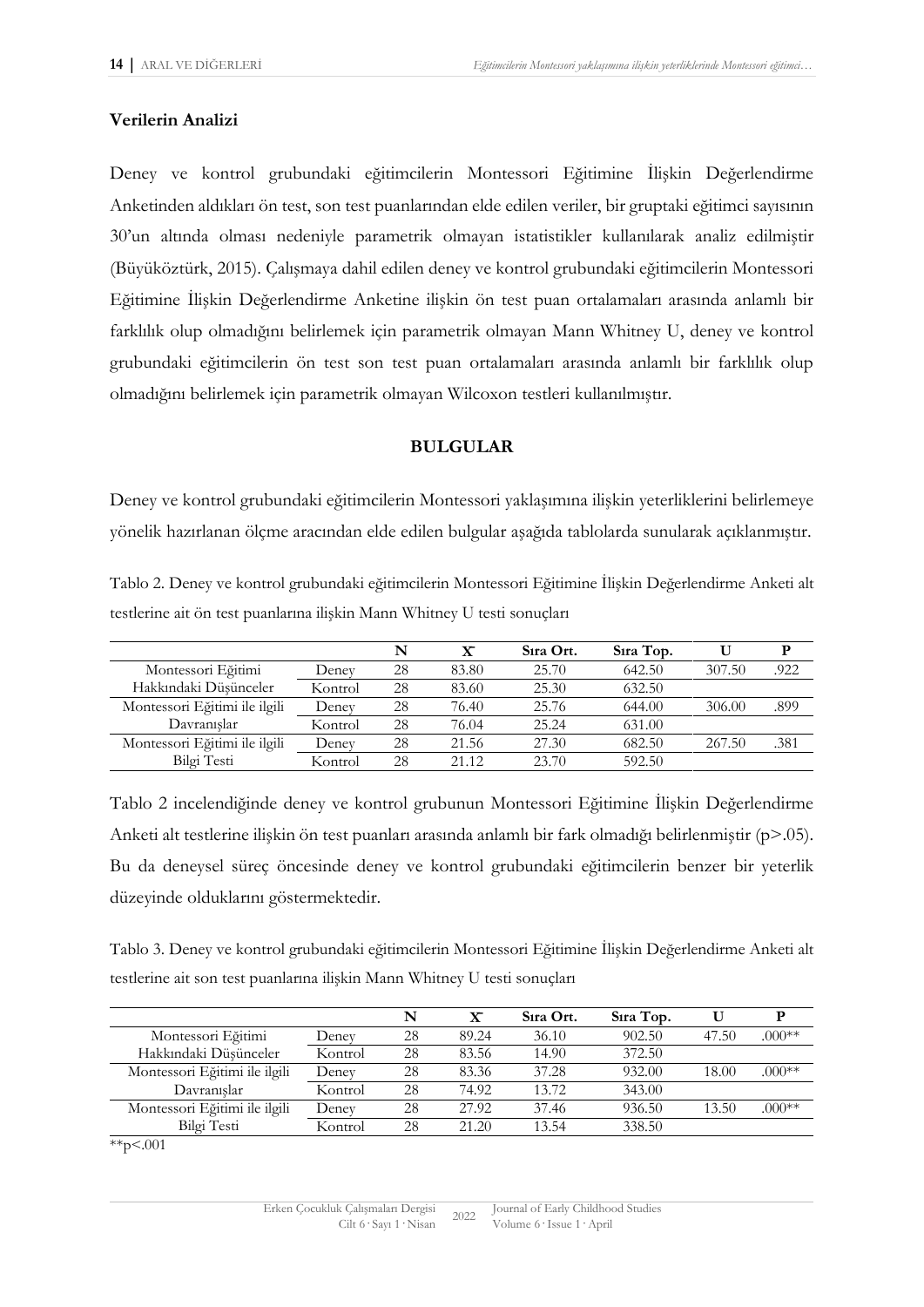#### **Verilerin Analizi**

Deney ve kontrol grubundaki eğitimcilerin Montessori Eğitimine İlişkin Değerlendirme Anketinden aldıkları ön test, son test puanlarından elde edilen veriler, bir gruptaki eğitimci sayısının 30'un altında olması nedeniyle parametrik olmayan istatistikler kullanılarak analiz edilmiştir (Büyüköztürk, 2015). Çalışmaya dahil edilen deney ve kontrol grubundaki eğitimcilerin Montessori Eğitimine İlişkin Değerlendirme Anketine ilişkin ön test puan ortalamaları arasında anlamlı bir farklılık olup olmadığını belirlemek için parametrik olmayan Mann Whitney U, deney ve kontrol grubundaki eğitimcilerin ön test son test puan ortalamaları arasında anlamlı bir farklılık olup olmadığını belirlemek için parametrik olmayan Wilcoxon testleri kullanılmıştır.

### **BULGULAR**

Deney ve kontrol grubundaki eğitimcilerin Montessori yaklaşımına ilişkin yeterliklerini belirlemeye yönelik hazırlanan ölçme aracından elde edilen bulgular aşağıda tablolarda sunularak açıklanmıştır.

Tablo 2. Deney ve kontrol grubundaki eğitimcilerin Montessori Eğitimine İlişkin Değerlendirme Anketi alt testlerine ait ön test puanlarına ilişkin Mann Whitney U testi sonuçları

|                               |         | N  | $\mathbf x$ | Sira Ort. | Sira Top. |        | Р    |
|-------------------------------|---------|----|-------------|-----------|-----------|--------|------|
| Montessori Eğitimi            | Denev   | 28 | 83.80       | 25.70     | 642.50    | 307.50 | .922 |
| Hakkındaki Düsünceler         | Kontrol | 28 | 83.60       | 25.30     | 632.50    |        |      |
| Montessori Eğitimi ile ilgili | Deney   | 28 | 76.40       | 25.76     | 644.00    | 306.00 | .899 |
| Davranıslar                   | Kontrol | 28 | 76.04       | 25.24     | 631.00    |        |      |
| Montessori Eğitimi ile ilgili | Deney   | 28 | 21.56       | 27.30     | 682.50    | 267.50 | .381 |
| Bilgi Testi                   | Kontrol | 28 | 21.12       | 23.70     | 592.50    |        |      |

Tablo 2 incelendiğinde deney ve kontrol grubunun Montessori Eğitimine İlişkin Değerlendirme Anketi alt testlerine ilişkin ön test puanları arasında anlamlı bir fark olmadığı belirlenmiştir (p>.05). Bu da deneysel süreç öncesinde deney ve kontrol grubundaki eğitimcilerin benzer bir yeterlik düzeyinde olduklarını göstermektedir.

Tablo 3. Deney ve kontrol grubundaki eğitimcilerin Montessori Eğitimine İlişkin Değerlendirme Anketi alt testlerine ait son test puanlarına ilişkin Mann Whitney U testi sonuçları

|                               |         | N  | $\mathbf{x}$ | Sira Ort. | Sira Top. |       |          |
|-------------------------------|---------|----|--------------|-----------|-----------|-------|----------|
| Montessori Eğitimi            | Deney   | 28 | 89.24        | 36.10     | 902.50    | 47.50 | $.000**$ |
| Hakkındaki Düşünceler         | Kontrol | 28 | 83.56        | 14.90     | 372.50    |       |          |
| Montessori Eğitimi ile ilgili | Denev   | 28 | 83.36        | 37.28     | 932.00    | 18.00 | $.000**$ |
| Davranıslar                   | Kontrol | 28 | 74.92        | 13.72     | 343.00    |       |          |
| Montessori Eğitimi ile ilgili | Deney   | 28 | 27.92        | 37.46     | 936.50    | 13.50 | $.000**$ |
| Bilgi Testi                   | Kontrol | 28 | 21.20        | 13.54     | 338.50    |       |          |

 $*$  $p$ <.001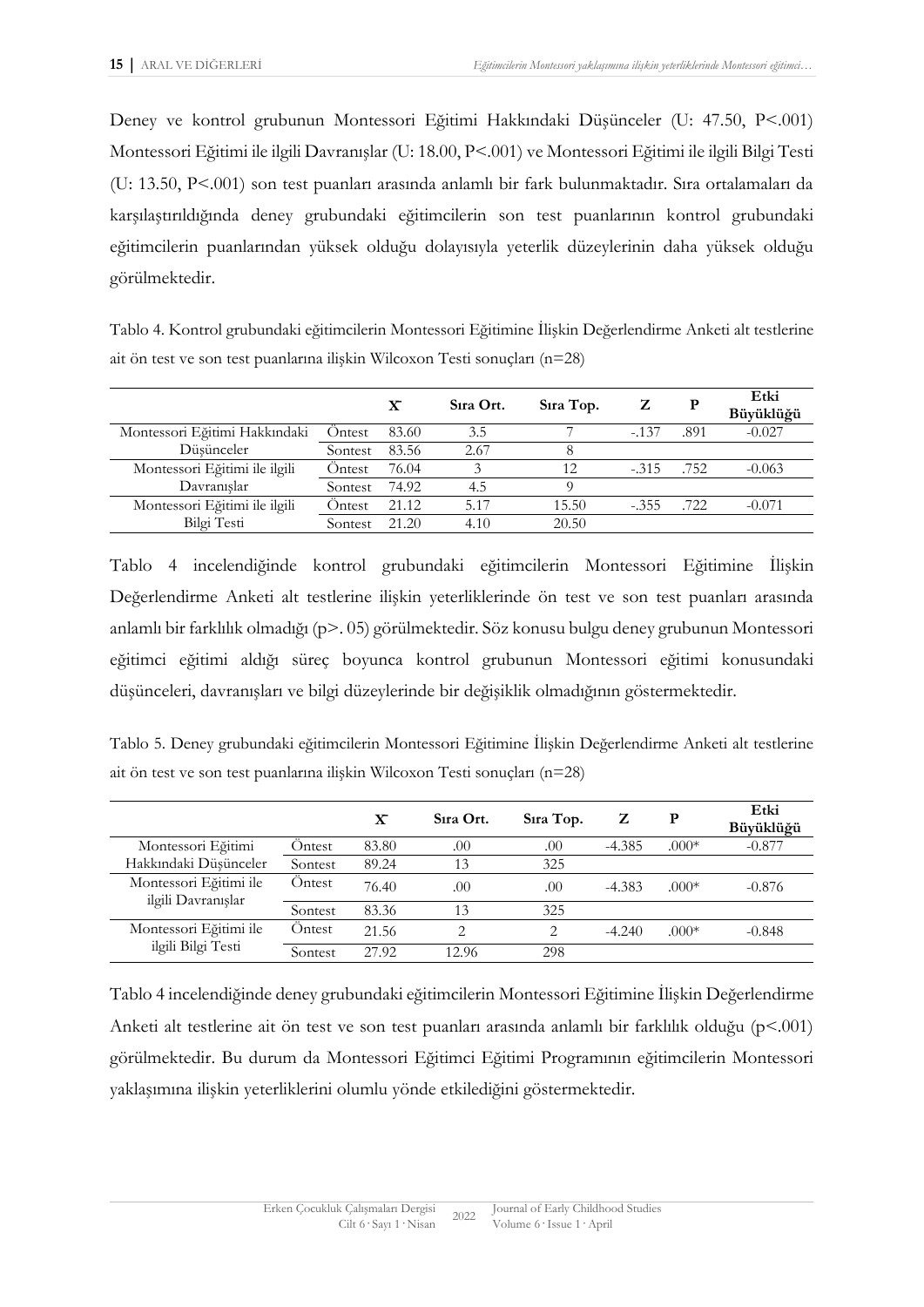Deney ve kontrol grubunun Montessori Eğitimi Hakkındaki Düşünceler (U: 47.50, P<.001) Montessori Eğitimi ile ilgili Davranışlar (U: 18.00, P<.001) ve Montessori Eğitimi ile ilgili Bilgi Testi (U: 13.50, P<.001) son test puanları arasında anlamlı bir fark bulunmaktadır. Sıra ortalamaları da karşılaştırıldığında deney grubundaki eğitimcilerin son test puanlarının kontrol grubundaki eğitimcilerin puanlarından yüksek olduğu dolayısıyla yeterlik düzeylerinin daha yüksek olduğu görülmektedir.

Tablo 4. Kontrol grubundaki eğitimcilerin Montessori Eğitimine İlişkin Değerlendirme Anketi alt testlerine ait ön test ve son test puanlarına ilişkin Wilcoxon Testi sonuçları (n=28)

|                               |         | $\mathbf x$ | Sira Ort. | Sira Top. |         | P    | Etki<br>Büyüklüğü |
|-------------------------------|---------|-------------|-----------|-----------|---------|------|-------------------|
| Montessori Eğitimi Hakkındaki | Ontest  | 83.60       | 3.5       |           | $-.137$ | .891 | $-0.027$          |
| Düsünceler                    | Sontest | 83.56       | 2.67      |           |         |      |                   |
| Montessori Eğitimi ile ilgili | Ontest  | 76.04       |           | 12        | $-.315$ | .752 | $-0.063$          |
| Davranıslar                   | Sontest | 74.92       | 4.5       |           |         |      |                   |
| Montessori Eğitimi ile ilgili | Ontest  | 21.12       | 5.17      | 15.50     | $-.355$ | .722 | $-0.071$          |
| Bilgi Testi                   | Sontest | 21.20       | 4.10      | 20.50     |         |      |                   |

Tablo 4 incelendiğinde kontrol grubundaki eğitimcilerin Montessori Eğitimine İlişkin Değerlendirme Anketi alt testlerine ilişkin yeterliklerinde ön test ve son test puanları arasında anlamlı bir farklılık olmadığı (p>. 05) görülmektedir. Söz konusu bulgu deney grubunun Montessori eğitimci eğitimi aldığı süreç boyunca kontrol grubunun Montessori eğitimi konusundaki düşünceleri, davranışları ve bilgi düzeylerinde bir değişiklik olmadığının göstermektedir.

Tablo 5. Deney grubundaki eğitimcilerin Montessori Eğitimine İlişkin Değerlendirme Anketi alt testlerine ait ön test ve son test puanlarına ilişkin Wilcoxon Testi sonuçları (n=28)

|                                              |         | $\mathbf{x}$ | Sira Ort. | Sira Top. | z        | Р       | Etki<br>Büyüklüğü |
|----------------------------------------------|---------|--------------|-----------|-----------|----------|---------|-------------------|
| Montessori Eğitimi                           | Ontest  | 83.80        | .00       | .00       | $-4.385$ | $.000*$ | $-0.877$          |
| Hakkındaki Düşünceler                        | Sontest | 89.24        | 13        | 325       |          |         |                   |
| Montessori Eğitimi ile<br>ilgili Davranışlar | Ontest  | 76.40        | .00       | .00       | $-4.383$ | $.000*$ | $-0.876$          |
|                                              | Sontest | 83.36        | 13        | 325       |          |         |                   |
| Montessori Eğitimi ile<br>ilgili Bilgi Testi | Öntest  | 21.56        | ↑         | ◠         | $-4.240$ | $.000*$ | $-0.848$          |
|                                              | Sontest | 27.92        | 12.96     | 298       |          |         |                   |

Tablo 4 incelendiğinde deney grubundaki eğitimcilerin Montessori Eğitimine İlişkin Değerlendirme Anketi alt testlerine ait ön test ve son test puanları arasında anlamlı bir farklılık olduğu (p<.001) görülmektedir. Bu durum da Montessori Eğitimci Eğitimi Programının eğitimcilerin Montessori yaklaşımına ilişkin yeterliklerini olumlu yönde etkilediğini göstermektedir.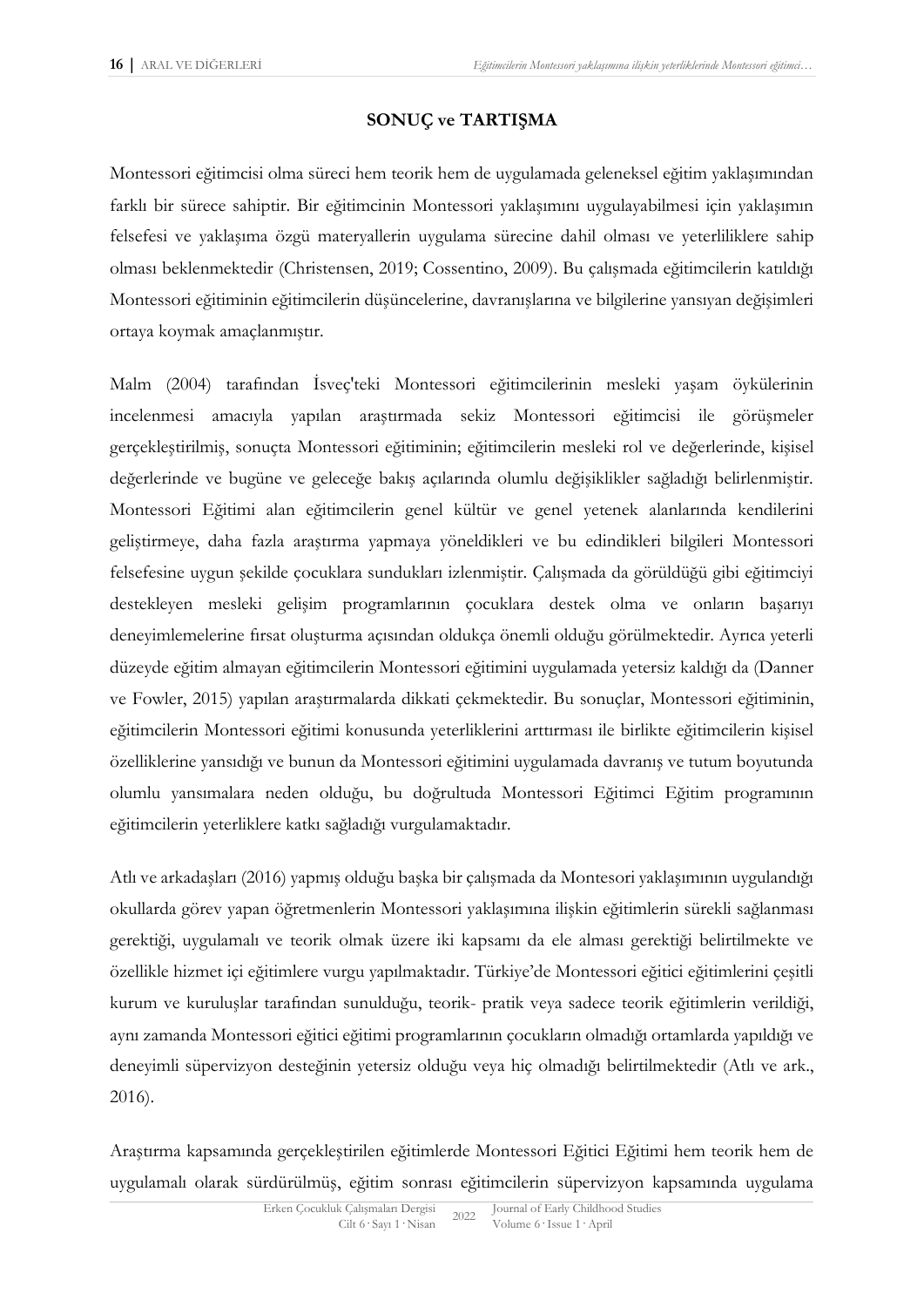## **SONUÇ ve TARTIŞMA**

Montessori eğitimcisi olma süreci hem teorik hem de uygulamada geleneksel eğitim yaklaşımından farklı bir sürece sahiptir. Bir eğitimcinin Montessori yaklaşımını uygulayabilmesi için yaklaşımın felsefesi ve yaklaşıma özgü materyallerin uygulama sürecine dahil olması ve yeterliliklere sahip olması beklenmektedir (Christensen, 2019; Cossentino, 2009). Bu çalışmada eğitimcilerin katıldığı Montessori eğitiminin eğitimcilerin düşüncelerine, davranışlarına ve bilgilerine yansıyan değişimleri ortaya koymak amaçlanmıştır.

Malm (2004) tarafından İsveç'teki Montessori eğitimcilerinin mesleki yaşam öykülerinin incelenmesi amacıyla yapılan araştırmada sekiz Montessori eğitimcisi ile görüşmeler gerçekleştirilmiş, sonuçta Montessori eğitiminin; eğitimcilerin mesleki rol ve değerlerinde, kişisel değerlerinde ve bugüne ve geleceğe bakış açılarında olumlu değişiklikler sağladığı belirlenmiştir. Montessori Eğitimi alan eğitimcilerin genel kültür ve genel yetenek alanlarında kendilerini geliştirmeye, daha fazla araştırma yapmaya yöneldikleri ve bu edindikleri bilgileri Montessori felsefesine uygun şekilde çocuklara sundukları izlenmiştir. Çalışmada da görüldüğü gibi eğitimciyi destekleyen mesleki gelişim programlarının çocuklara destek olma ve onların başarıyı deneyimlemelerine fırsat oluşturma açısından oldukça önemli olduğu görülmektedir. Ayrıca yeterli düzeyde eğitim almayan eğitimcilerin Montessori eğitimini uygulamada yetersiz kaldığı da (Danner ve Fowler, 2015) yapılan araştırmalarda dikkati çekmektedir. Bu sonuçlar, Montessori eğitiminin, eğitimcilerin Montessori eğitimi konusunda yeterliklerini arttırması ile birlikte eğitimcilerin kişisel özelliklerine yansıdığı ve bunun da Montessori eğitimini uygulamada davranış ve tutum boyutunda olumlu yansımalara neden olduğu, bu doğrultuda Montessori Eğitimci Eğitim programının eğitimcilerin yeterliklere katkı sağladığı vurgulamaktadır.

Atlı ve arkadaşları (2016) yapmış olduğu başka bir çalışmada da Montesori yaklaşımının uygulandığı okullarda görev yapan öğretmenlerin Montessori yaklaşımına ilişkin eğitimlerin sürekli sağlanması gerektiği, uygulamalı ve teorik olmak üzere iki kapsamı da ele alması gerektiği belirtilmekte ve özellikle hizmet içi eğitimlere vurgu yapılmaktadır. Türkiye'de Montessori eğitici eğitimlerini çeşitli kurum ve kuruluşlar tarafından sunulduğu, teorik- pratik veya sadece teorik eğitimlerin verildiği, aynı zamanda Montessori eğitici eğitimi programlarının çocukların olmadığı ortamlarda yapıldığı ve deneyimli süpervizyon desteğinin yetersiz olduğu veya hiç olmadığı belirtilmektedir (Atlı ve ark., 2016).

Araştırma kapsamında gerçekleştirilen eğitimlerde Montessori Eğitici Eğitimi hem teorik hem de uygulamalı olarak sürdürülmüş, eğitim sonrası eğitimcilerin süpervizyon kapsamında uygulama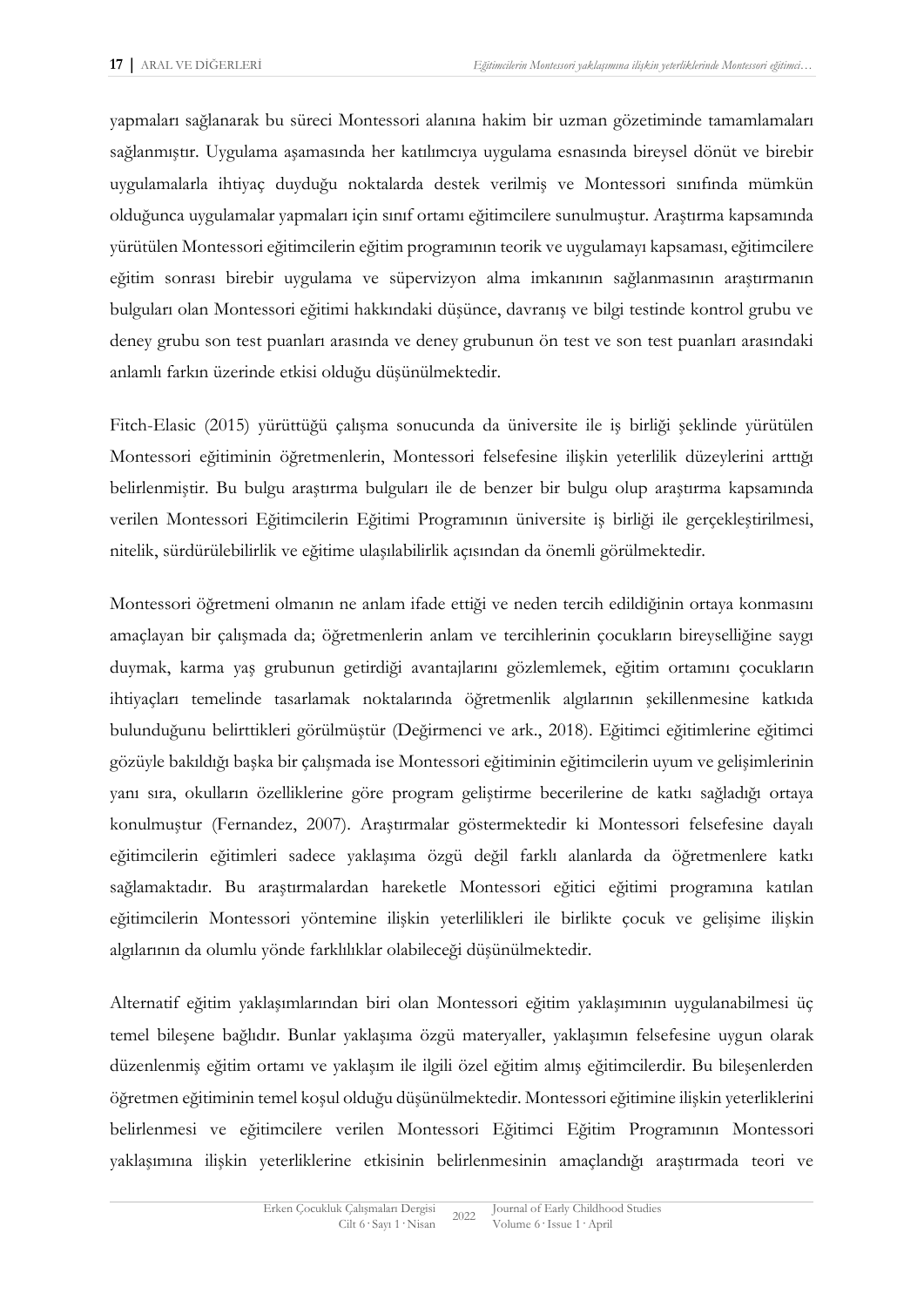yapmaları sağlanarak bu süreci Montessori alanına hakim bir uzman gözetiminde tamamlamaları sağlanmıştır. Uygulama aşamasında her katılımcıya uygulama esnasında bireysel dönüt ve birebir uygulamalarla ihtiyaç duyduğu noktalarda destek verilmiş ve Montessori sınıfında mümkün olduğunca uygulamalar yapmaları için sınıf ortamı eğitimcilere sunulmuştur. Araştırma kapsamında yürütülen Montessori eğitimcilerin eğitim programının teorik ve uygulamayı kapsaması, eğitimcilere eğitim sonrası birebir uygulama ve süpervizyon alma imkanının sağlanmasının araştırmanın bulguları olan Montessori eğitimi hakkındaki düşünce, davranış ve bilgi testinde kontrol grubu ve deney grubu son test puanları arasında ve deney grubunun ön test ve son test puanları arasındaki anlamlı farkın üzerinde etkisi olduğu düşünülmektedir.

Fitch-Elasic (2015) yürüttüğü çalışma sonucunda da üniversite ile iş birliği şeklinde yürütülen Montessori eğitiminin öğretmenlerin, Montessori felsefesine ilişkin yeterlilik düzeylerini arttığı belirlenmiştir. Bu bulgu araştırma bulguları ile de benzer bir bulgu olup araştırma kapsamında verilen Montessori Eğitimcilerin Eğitimi Programının üniversite iş birliği ile gerçekleştirilmesi, nitelik, sürdürülebilirlik ve eğitime ulaşılabilirlik açısından da önemli görülmektedir.

Montessori öğretmeni olmanın ne anlam ifade ettiği ve neden tercih edildiğinin ortaya konmasını amaçlayan bir çalışmada da; öğretmenlerin anlam ve tercihlerinin çocukların bireyselliğine saygı duymak, karma yaş grubunun getirdiği avantajlarını gözlemlemek, eğitim ortamını çocukların ihtiyaçları temelinde tasarlamak noktalarında öğretmenlik algılarının şekillenmesine katkıda bulunduğunu belirttikleri görülmüştür (Değirmenci ve ark., 2018). Eğitimci eğitimlerine eğitimci gözüyle bakıldığı başka bir çalışmada ise Montessori eğitiminin eğitimcilerin uyum ve gelişimlerinin yanı sıra, okulların özelliklerine göre program geliştirme becerilerine de katkı sağladığı ortaya konulmuştur (Fernandez, 2007). Araştırmalar göstermektedir ki Montessori felsefesine dayalı eğitimcilerin eğitimleri sadece yaklaşıma özgü değil farklı alanlarda da öğretmenlere katkı sağlamaktadır. Bu araştırmalardan hareketle Montessori eğitici eğitimi programına katılan eğitimcilerin Montessori yöntemine ilişkin yeterlilikleri ile birlikte çocuk ve gelişime ilişkin algılarının da olumlu yönde farklılıklar olabileceği düşünülmektedir.

Alternatif eğitim yaklaşımlarından biri olan Montessori eğitim yaklaşımının uygulanabilmesi üç temel bileşene bağlıdır. Bunlar yaklaşıma özgü materyaller, yaklaşımın felsefesine uygun olarak düzenlenmiş eğitim ortamı ve yaklaşım ile ilgili özel eğitim almış eğitimcilerdir. Bu bileşenlerden öğretmen eğitiminin temel koşul olduğu düşünülmektedir. Montessori eğitimine ilişkin yeterliklerini belirlenmesi ve eğitimcilere verilen Montessori Eğitimci Eğitim Programının Montessori yaklaşımına ilişkin yeterliklerine etkisinin belirlenmesinin amaçlandığı araştırmada teori ve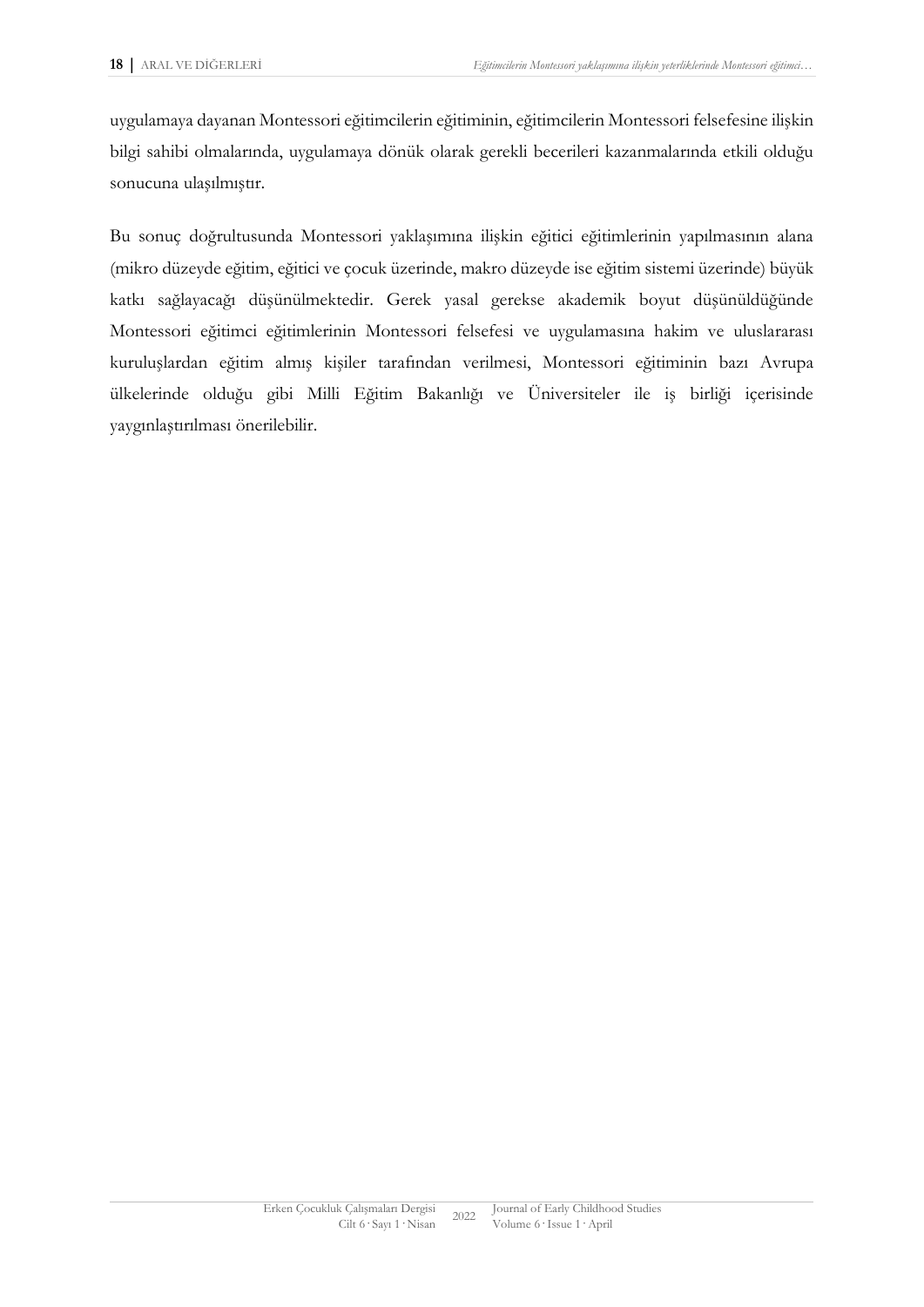uygulamaya dayanan Montessori eğitimcilerin eğitiminin, eğitimcilerin Montessori felsefesine ilişkin bilgi sahibi olmalarında, uygulamaya dönük olarak gerekli becerileri kazanmalarında etkili olduğu sonucuna ulaşılmıştır.

Bu sonuç doğrultusunda Montessori yaklaşımına ilişkin eğitici eğitimlerinin yapılmasının alana (mikro düzeyde eğitim, eğitici ve çocuk üzerinde, makro düzeyde ise eğitim sistemi üzerinde) büyük katkı sağlayacağı düşünülmektedir. Gerek yasal gerekse akademik boyut düşünüldüğünde Montessori eğitimci eğitimlerinin Montessori felsefesi ve uygulamasına hakim ve uluslararası kuruluşlardan eğitim almış kişiler tarafından verilmesi, Montessori eğitiminin bazı Avrupa ülkelerinde olduğu gibi Milli Eğitim Bakanlığı ve Üniversiteler ile iş birliği içerisinde yaygınlaştırılması önerilebilir.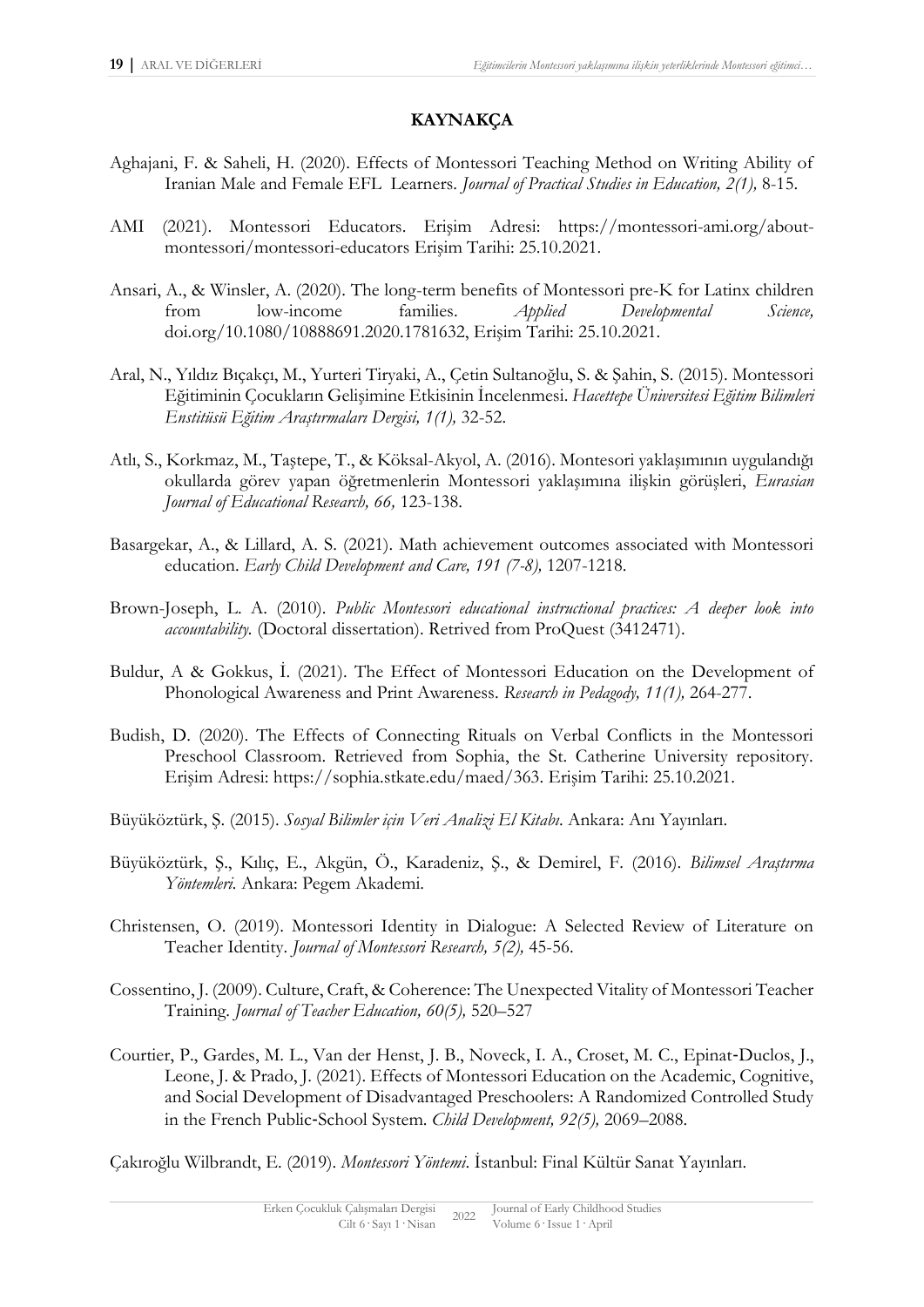### **KAYNAKÇA**

- Aghajani, F. & Saheli, H. (2020). Effects of Montessori Teaching Method on Writing Ability of Iranian Male and Female EFL Learners. *Journal of Practical Studies in Education, 2(1),* 8-15.
- AMI (2021). Montessori Educators. Erişim Adresi: [https://montessori-ami.org/about](https://montessori-ami.org/about-montessori/montessori-educators)[montessori/montessori-educators](https://montessori-ami.org/about-montessori/montessori-educators) Erişim Tarihi: 25.10.2021.
- Ansari, A., & Winsler, A. (2020). The long-term benefits of Montessori pre-K for Latinx children from low-income families. *Applied Developmental Science,* doi.org/10.1080/10888691.2020.1781632, Erişim Tarihi: 25.10.2021.
- Aral, N., Yıldız Bıçakçı, M., Yurteri Tiryaki, A., Çetin Sultanoğlu, S. & Şahin, S. (2015). Montessori Eğitiminin Çocukların Gelişimine Etkisinin İncelenmesi. *Hacettepe Üniversitesi Eğitim Bilimleri Enstitüsü Eğitim Araştırmaları Dergisi, 1(1),* 32-52.
- Atlı, S., Korkmaz, M., Taştepe, T., & Köksal-Akyol, A. (2016). Montesori yaklaşımının uygulandığı okullarda görev yapan öğretmenlerin Montessori yaklaşımına ilişkin görüşleri, *Eurasian Journal of Educational Research, 66,* 123-138.
- Basargekar, A., & Lillard, A. S. (2021). Math achievement outcomes associated with Montessori education. *Early Child Development and Care, 191 (7-8),* 1207-1218.
- Brown-Joseph, L. A. (2010). *Public Montessori educational instructional practices: A deeper look into accountability.* (Doctoral dissertation). Retrived from ProQuest (3412471).
- Buldur, A & Gokkus, İ. (2021). The Effect of Montessori Education on the Development of Phonological Awareness and Print Awareness. *Research in Pedagody, 11(1),* 264-277.
- Budish, D. (2020). The Effects of Connecting Rituals on Verbal Conflicts in the Montessori Preschool Classroom. Retrieved from Sophia, the St. Catherine University repository. Erişim Adresi: https://sophia.stkate.edu/maed/363. Erişim Tarihi: 25.10.2021.
- Büyüköztürk, Ş. (2015). *Sosyal Bilimler için Veri Analizi El Kitabı*. Ankara: Anı Yayınları.
- Büyüköztürk, Ş., Kılıç, E., Akgün, Ö., Karadeniz, Ş., & Demirel, F. (2016). *Bilimsel Araştırma Yöntemleri.* Ankara: Pegem Akademi.
- Christensen, O. (2019). Montessori Identity in Dialogue: A Selected Review of Literature on Teacher Identity. *Journal of Montessori Research, 5(2),* 45-56.
- Cossentino, J. (2009). Culture, Craft, & Coherence: The Unexpected Vitality of Montessori Teacher Training. *Journal of Teacher Education, 60(5),* 520–527
- Courtier, P., Gardes, M. L., Van der Henst, J. B., Noveck, I. A., Croset, M. C., Epinat‐Duclos, J., Leone, J. & Prado, J. (2021). Effects of Montessori Education on the Academic, Cognitive, and Social Development of Disadvantaged Preschoolers: A Randomized Controlled Study in the French Public‐School System. *Child Development, 92(5),* 2069–2088.

Çakıroğlu Wilbrandt, E. (2019). *Montessori Yöntemi*. İstanbul: Final Kültür Sanat Yayınları.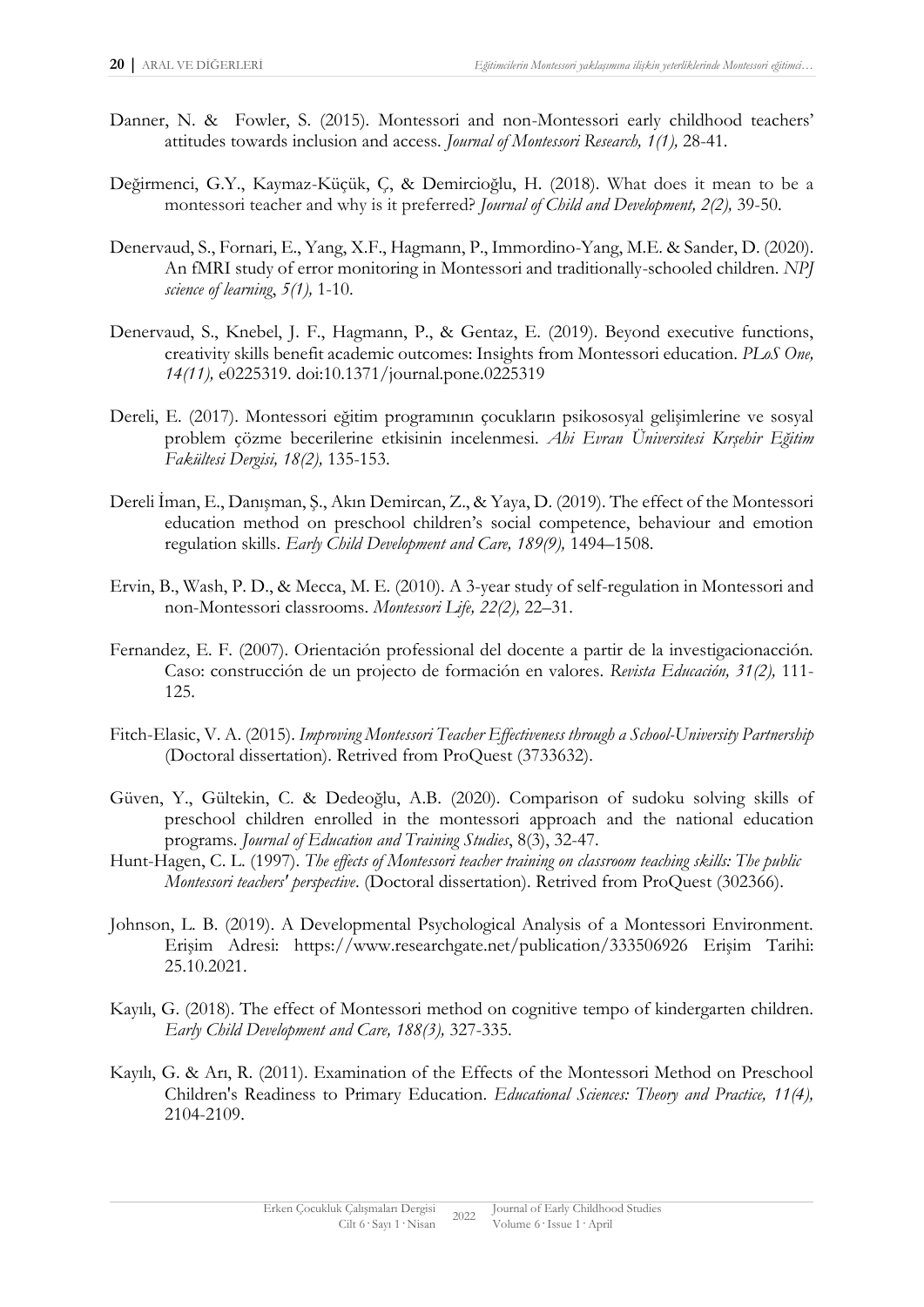- Danner, N. & Fowler, S. (2015). Montessori and non-Montessori early childhood teachers' attitudes towards inclusion and access. *Journal of Montessori Research, 1(1),* 28-41.
- Değirmenci, G.Y., Kaymaz-Küçük, Ç, & Demircioğlu, H. (2018). What does it mean to be a montessori teacher and why is it preferred? *Journal of Child and Development, 2(2),* 39-50.
- Denervaud, S., Fornari, E., Yang, X.F., Hagmann, P., Immordino-Yang, M.E. & Sander, D. (2020). An fMRI study of error monitoring in Montessori and traditionally-schooled children. *NPJ science of learning*, *5(1),* 1-10.
- Denervaud, S., Knebel, J. F., Hagmann, P., & Gentaz, E. (2019). Beyond executive functions, creativity skills benefit academic outcomes: Insights from Montessori education. *PLoS One, 14(11),* e0225319. doi:10.1371/journal.pone.0225319
- Dereli, E. (2017). Montessori eğitim programının çocukların psikososyal gelişimlerine ve sosyal problem çözme becerilerine etkisinin incelenmesi. *Ahi Evran Üniversitesi Kırşehir Eğitim Fakültesi Dergisi, 18(2),* 135-153.
- Dereli İman, E., Danışman, Ş., Akın Demircan, Z., & Yaya, D. (2019). The effect of the Montessori education method on preschool children's social competence, behaviour and emotion regulation skills. *Early Child Development and Care, 189(9),* 1494–1508.
- Ervin, B., Wash, P. D., & Mecca, M. E. (2010). A 3-year study of self-regulation in Montessori and non-Montessori classrooms. *Montessori Life, 22(2),* 22–31.
- Fernandez, E. F. (2007). Orientación professional del docente a partir de la investigacionacción. Caso: construcción de un projecto de formación en valores. *Revista Educación, 31(2),* 111- 125.
- Fitch-Elasic, V. A. (2015). *Improving Montessori Teacher Effectiveness through a School-University Partnership* (Doctoral dissertation). Retrived from ProQuest (3733632).
- Güven, Y., Gültekin, C. & Dedeoğlu, A.B. (2020). Comparison of sudoku solving skills of preschool children enrolled in the montessori approach and the national education programs. *Journal of Education and Training Studies*, 8(3), 32-47.
- Hunt-Hagen, C. L. (1997). *The effects of Montessori teacher training on classroom teaching skills: The public Montessori teachers' perspective*. (Doctoral dissertation). Retrived from ProQuest (302366).
- Johnson, L. B. (2019). A Developmental Psychological Analysis of a Montessori Environment. Erişim Adresi: https://www.researchgate.net/publication/333506926 Erişim Tarihi: 25.10.2021.
- Kayılı, G. (2018). The effect of Montessori method on cognitive tempo of kindergarten children. *Early Child Development and Care, 188(3),* 327-335.
- Kayılı, G. & Arı, R. (2011). Examination of the Effects of the Montessori Method on Preschool Children's Readiness to Primary Education. *Educational Sciences: Theory and Practice, 11(4),* 2104-2109.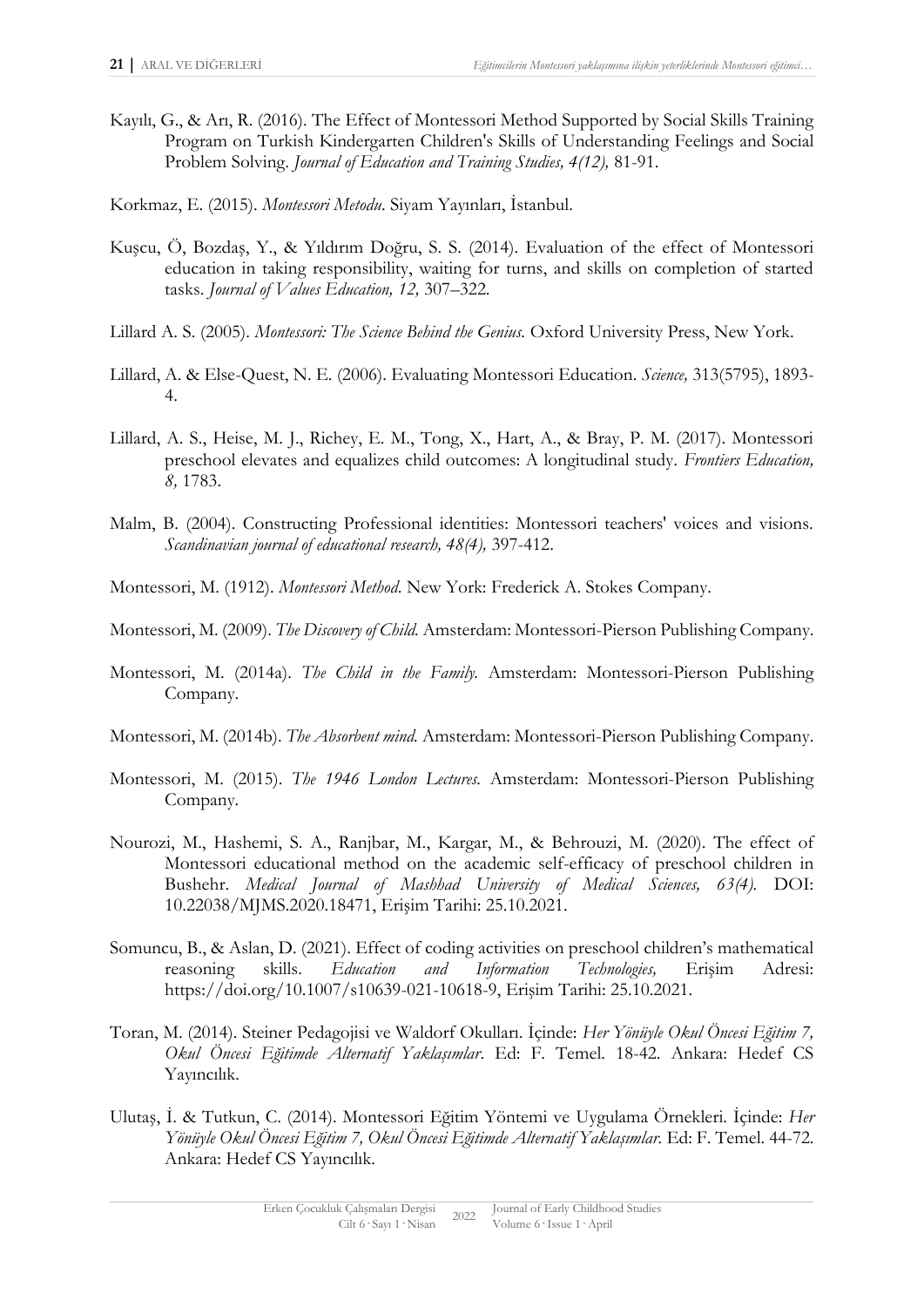- Kayılı, G., & Arı, R. (2016). The Effect of Montessori Method Supported by Social Skills Training Program on Turkish Kindergarten Children's Skills of Understanding Feelings and Social Problem Solving. *Journal of Education and Training Studies, 4(12),* 81-91.
- Korkmaz, E. (2015). *Montessori Metodu*. Siyam Yayınları, İstanbul.
- Kuşcu, Ö, Bozdaş, Y., & Yıldırım Doğru, S. S. (2014). Evaluation of the effect of Montessori education in taking responsibility, waiting for turns, and skills on completion of started tasks. *Journal of Values Education, 12,* 307–322.
- Lillard A. S. (2005). *Montessori: The Science Behind the Genius.* Oxford University Press, New York.
- Lillard, A. & Else-Quest, N. E. (2006). Evaluating Montessori Education. *Science,* 313(5795), 1893- 4.
- Lillard, A. S., Heise, M. J., Richey, E. M., Tong, X., Hart, A., & Bray, P. M. (2017). Montessori preschool elevates and equalizes child outcomes: A longitudinal study*. Frontiers Education, 8,* 1783.
- Malm, B. (2004). Constructing Professional identities: Montessori teachers' voices and visions. *Scandinavian journal of educational research, 48(4),* 397-412.
- Montessori, M. (1912). *Montessori Method*. New York: Frederick A. Stokes Company.
- Montessori, M. (2009). *The Discovery of Child.* Amsterdam: Montessori-Pierson Publishing Company.
- Montessori, M. (2014a). *The Child in the Family.* Amsterdam: Montessori-Pierson Publishing Company.
- Montessori, M. (2014b). *The Absorbent mind.* Amsterdam: Montessori-Pierson Publishing Company.
- Montessori, M. (2015). *The 1946 London Lectures.* Amsterdam: Montessori-Pierson Publishing Company.
- Nourozi, M., Hashemi, S. A., Ranjbar, M., Kargar, M., & Behrouzi, M. (2020). The effect of Montessori educational method on the academic self-efficacy of preschool children in Bushehr. *Medical Journal of Mashhad University of Medical Sciences, 63(4).* DOI: 10.22038/MJMS.2020.18471, Erişim Tarihi: 25.10.2021.
- Somuncu, B., & Aslan, D. (2021). Effect of coding activities on preschool children's mathematical reasoning skills. *Education and Information Technologies,* Erişim Adresi: https://doi.org/10.1007/s10639-021-10618-9, Erişim Tarihi: 25.10.2021.
- Toran, M. (2014). Steiner Pedagojisi ve Waldorf Okulları. İçinde: *Her Yönüyle Okul Öncesi Eğitim 7, Okul Öncesi Eğitimde Alternatif Yaklaşımlar*. Ed: F. Temel. 18-42. Ankara: Hedef CS Yayıncılık.
- Ulutaş, İ. & Tutkun, C. (2014). Montessori Eğitim Yöntemi ve Uygulama Örnekleri. İçinde: *Her Yönüyle Okul Öncesi Eğitim 7, Okul Öncesi Eğitimde Alternatif Yaklaşımlar.* Ed: F. Temel. 44-72. Ankara: Hedef CS Yayıncılık.